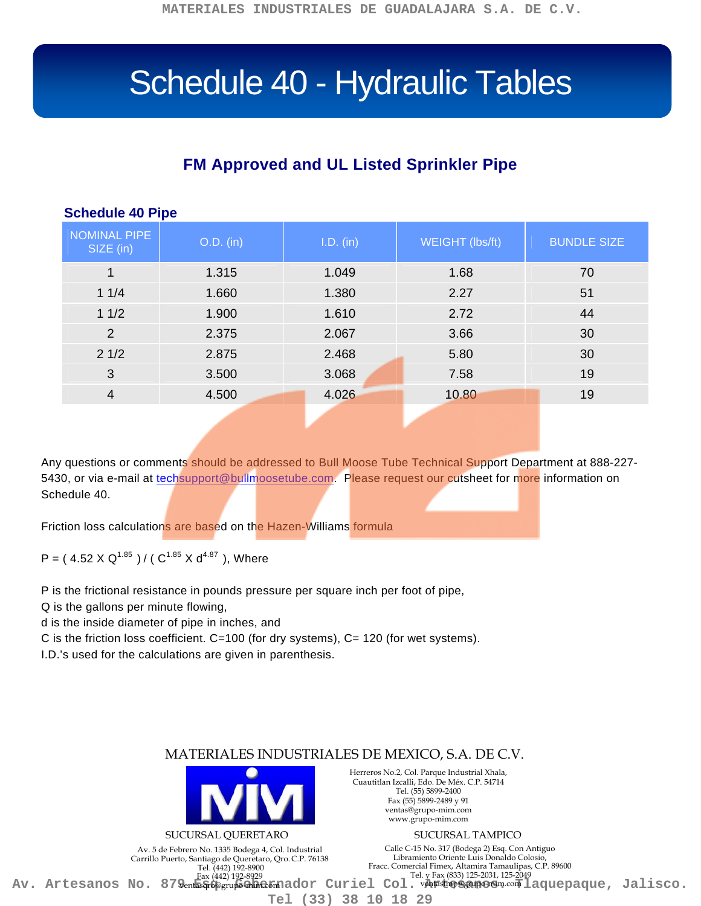# Schedule 40 - Hydraulic Tables

## **FM Approved and UL Listed Sprinkler Pipe**

| <b>OVIIUUUIU TU I INU</b>        |           |           |                 |                    |
|----------------------------------|-----------|-----------|-----------------|--------------------|
| <b>NOMINAL PIPE</b><br>SIZE (in) | O.D. (in) | I.D. (in) | WEIGHT (lbs/ft) | <b>BUNDLE SIZE</b> |
| 1                                | 1.315     | 1.049     | 1.68            | 70                 |
| 11/4                             | 1.660     | 1.380     | 2.27            | 51                 |
| 11/2                             | 1.900     | 1.610     | 2.72            | 44                 |
| $\overline{2}$                   | 2.375     | 2.067     | 3.66            | 30                 |
| 21/2                             | 2.875     | 2.468     | 5.80            | 30                 |
| 3                                | 3.500     | 3.068     | 7.58            | 19                 |
| $\overline{4}$                   | 4.500     | 4.026     | 10.80           | 19                 |
|                                  |           |           |                 |                    |

#### **Schedule 40 Pipe**

Any questions or comments should be addressed to Bull Moose Tube Technical Support Department at 888-227 5430, or via e-mail at [techsupport@bullmoosetube.com.](mailto:techsupport@bullmoosetube.com) Please request our cutsheet for more information on Schedule 40.

Friction loss calculations are based on the Hazen-Williams formula

P = (4.52 X Q<sup>1.85</sup>)/ ( $C^{1.85}$  X d<sup>4.87</sup>), Where

P is the frictional resistance in pounds pressure per square inch per foot of pipe,

Q is the gallons per minute flowing,

d is the inside diameter of pipe in inches, and

C is the friction loss coefficient. C=100 (for dry systems), C= 120 (for wet systems).

I.D.'s used for the calculations are given in parenthesis.

### MATERIALES INDUSTRIALES DE MEXICO, S.A. DE C.V.

**Tel (33) 38 10 18 29**



Av. 5 de Febrero No. 1335 Bodega 4, Col. Industrial Carrillo Puerto, Santiago de Queretaro, Qro.C.P. 76138 Tel. (442) 192-8900 Fax (442) 192-8929

Herreros No.2, Col. Parque Industrial Xhala, Cuautitlan Izcalli, Edo. De Méx. C.P. 54714 Tel. (55) 5899-2400 Fax (55) 5899-2489 y 91 ventas@grupo-mim.com www.grupo-mim.com

Calle C-15 No. 317 (Bodega 2) Esq. Con Antiguo Libramiento Oriente Luis Donaldo Colosio, Fracc. Comercial Fimex, Altamira Tamaulipas, C.P. 89600 Tel. y Fax (833) 125-2031, 125-2049 Av. Artesanos No. 879 entas perus anador Curiel Col. Matter and Taquepaque, Jalisco.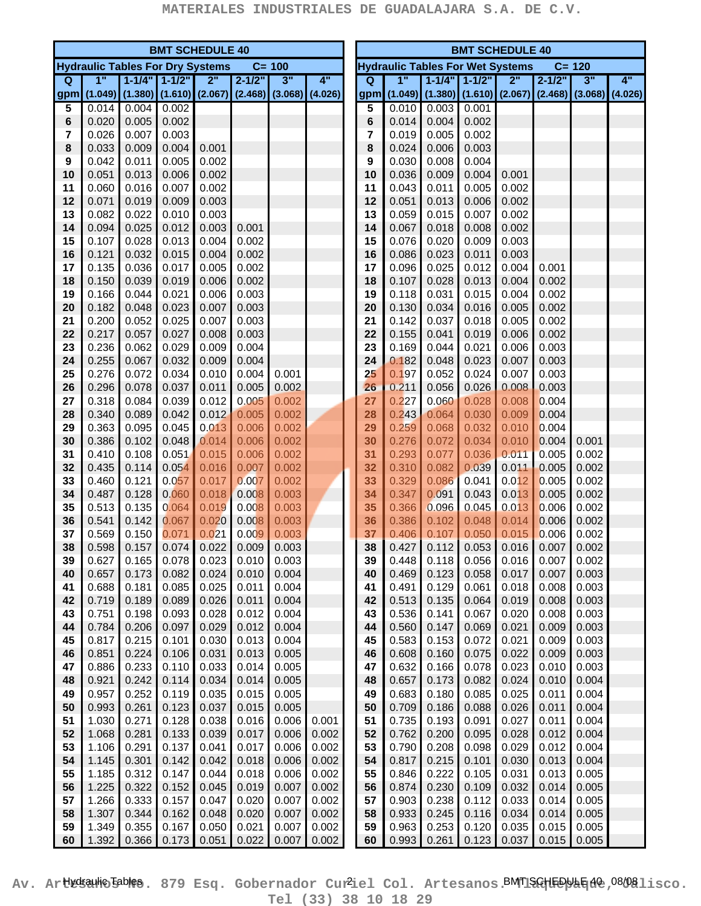| <b>BMT SCHEDULE 40</b> |                                         |                |                       |                                         |                               |                |       | <b>BMT SCHEDULE 40</b>                               |          |                                                   |                |                     |                |                |                     |    |
|------------------------|-----------------------------------------|----------------|-----------------------|-----------------------------------------|-------------------------------|----------------|-------|------------------------------------------------------|----------|---------------------------------------------------|----------------|---------------------|----------------|----------------|---------------------|----|
|                        | <b>Hydraulic Tables For Dry Systems</b> |                |                       |                                         |                               | $C = 100$      |       | <b>Hydraulic Tables For Wet Systems</b><br>$C = 120$ |          |                                                   |                |                     |                |                |                     |    |
| Q                      | 1"                                      |                | $1 - 1/4"$ $1 - 1/2"$ | 2"                                      | $2 - 1/2"$                    | 3"             | 4"    |                                                      | $\Omega$ | 1"                                                |                | $1 - 1/4" 1 - 1/2"$ | 2"             | $2 - 1/2"$     | 3"                  | 4" |
| gpm                    |                                         |                |                       | $(1.049)$ $(1.380)$ $(1.610)$ $(2.067)$ | $(2.468)$ $(3.068)$ $(4.026)$ |                |       |                                                      | gpm      | $(1.049)$ $(1.380)$ $(1.610)$ $(2.067)$ $(2.468)$ |                |                     |                |                | $(3.068)$ $(4.026)$ |    |
| 5                      | 0.014                                   | 0.004          | 0.002                 |                                         |                               |                |       |                                                      | 5        | 0.010                                             | 0.003          | 0.001               |                |                |                     |    |
| 6                      | 0.020                                   | 0.005          | 0.002                 |                                         |                               |                |       |                                                      | 6        | 0.014                                             | 0.004          | 0.002               |                |                |                     |    |
| 7                      | 0.026                                   | 0.007          | 0.003                 |                                         |                               |                |       |                                                      | 7        | 0.019                                             | 0.005          | 0.002               |                |                |                     |    |
| 8                      | 0.033                                   | 0.009          | 0.004                 | 0.001                                   |                               |                |       |                                                      | 8        | 0.024                                             | 0.006          | 0.003               |                |                |                     |    |
| 9                      | 0.042                                   | 0.011          | 0.005                 | 0.002                                   |                               |                |       |                                                      | 9        | 0.030                                             | 0.008          | 0.004               |                |                |                     |    |
| 10                     | 0.051                                   | 0.013          | 0.006                 | 0.002                                   |                               |                |       |                                                      | 10       | 0.036                                             | 0.009          | 0.004               | 0.001          |                |                     |    |
| 11                     | 0.060                                   | 0.016          | 0.007                 | 0.002                                   |                               |                |       |                                                      | 11       | 0.043                                             | 0.011          | 0.005               | 0.002          |                |                     |    |
| 12                     | 0.071                                   | 0.019          | 0.009                 | 0.003                                   |                               |                |       |                                                      | 12       | 0.051                                             | 0.013          | 0.006               | 0.002          |                |                     |    |
| 13                     | 0.082                                   | 0.022          | 0.010                 | 0.003                                   |                               |                |       |                                                      | 13       | 0.059                                             | 0.015          | 0.007               | 0.002          |                |                     |    |
| 14                     | 0.094                                   | 0.025          | 0.012                 | 0.003                                   | 0.001                         |                |       |                                                      | 14       | 0.067                                             | 0.018          | 0.008               | 0.002          |                |                     |    |
| 15                     | 0.107                                   | 0.028          | 0.013                 | 0.004                                   | 0.002                         |                |       |                                                      | 15       | 0.076                                             | 0.020          | 0.009               | 0.003          |                |                     |    |
| 16                     | 0.121                                   | 0.032          | 0.015                 | 0.004                                   | 0.002                         |                |       |                                                      | 16       | 0.086                                             | 0.023          | 0.011               | 0.003          |                |                     |    |
| 17                     | 0.135                                   | 0.036          | 0.017                 | 0.005                                   | 0.002                         |                |       |                                                      | 17       | 0.096                                             | 0.025          | 0.012               | 0.004          | 0.001          |                     |    |
| 18                     | 0.150                                   | 0.039          | 0.019                 | 0.006                                   | 0.002                         |                |       |                                                      | 18       | 0.107                                             | 0.028          | 0.013               | 0.004          | 0.002          |                     |    |
| 19                     | 0.166                                   | 0.044          | 0.021                 | 0.006                                   | 0.003                         |                |       |                                                      | 19       | 0.118                                             | 0.031          | 0.015               | 0.004          | 0.002          |                     |    |
| 20                     | 0.182                                   | 0.048          | 0.023                 | 0.007                                   | 0.003                         |                |       |                                                      | 20       | 0.130                                             | 0.034          | 0.016               | 0.005          | 0.002          |                     |    |
| 21                     | 0.200                                   | 0.052          | 0.025                 | 0.007                                   | 0.003                         |                |       |                                                      | 21       | 0.142                                             | 0.037          | 0.018               | 0.005          | 0.002          |                     |    |
| 22                     | 0.217                                   | 0.057          | 0.027                 | 0.008                                   | 0.003                         |                |       |                                                      | 22       | 0.155                                             | 0.041          | 0.019               | 0.006          | 0.002          |                     |    |
| 23                     | 0.236                                   | 0.062          | 0.029                 | 0.009                                   | 0.004                         |                |       |                                                      | 23       | 0.169                                             | 0.044          | 0.021               | 0.006          | 0.003          |                     |    |
| 24                     | 0.255                                   | 0.067          | 0.032                 | 0.009                                   | 0.004                         |                |       |                                                      | 24       | 0.182                                             | 0.048          | 0.023               | 0.007          | 0.003          |                     |    |
| 25                     | 0.276                                   | 0.072          | 0.034                 | 0.010                                   | 0.004                         | 0.001          |       |                                                      | 25       | 0.197                                             | 0.052          | 0.024               | 0.007          | 0.003          |                     |    |
| 26                     | 0.296                                   | 0.078          | 0.037                 | 0.011                                   | 0.005                         | 0.002          |       |                                                      | 26       | 0.211                                             | 0.056          | 0.026               | 0.008          | 0.003          |                     |    |
|                        | 0.318                                   | 0.084          | 0.039                 | 0.012                                   | 0.005                         | 0.002          |       |                                                      | 27       | 0.227                                             | 0.060          | 0.028               | 0.008          | 0.004          |                     |    |
| 27<br>28               |                                         | 0.089          | 0.042                 | 0.012                                   |                               |                |       |                                                      |          | 0.243                                             |                |                     | 0.009          |                |                     |    |
|                        | 0.340                                   | 0.095          | 0.045                 |                                         | 0.005                         | 0.002          |       |                                                      | 28       |                                                   | 0.064          | 0.030               | 0.010          | 0.004          |                     |    |
| 29<br>30               | 0.363<br>0.386                          |                | 0.048                 | 0.013                                   | 0.006<br>0.006                | 0.002<br>0.002 |       |                                                      | 29       | 0.259<br>0.276                                    | 0.068<br>0.072 | 0.032<br>0.034      | 0.010          | 0.004<br>0.004 |                     |    |
|                        |                                         | 0.102          |                       | 0.014                                   |                               |                |       |                                                      | 30       |                                                   |                |                     |                |                | 0.001               |    |
| 31                     | 0.410                                   | 0.108          | 0.051                 | 0.015                                   | 0.006                         | 0.002          |       |                                                      | 31       | 0.293                                             | 0.077          | 0.036               | 0.011          | 0.005          | 0.002               |    |
| 32                     | 0.435                                   | 0.114          | 0.054                 | 0.016                                   | 0.007                         | 0.002          |       |                                                      | 32       | 0.310                                             | 0.082          | 0.039               | 0.011          | 0.005          | 0.002               |    |
| 33                     | 0.460                                   | 0.121          | 0.057                 | 0.017                                   | 0.007                         | 0.002          |       |                                                      | 33       | 0.329                                             | 0.086          | 0.041               | 0.012          | 0.005          | 0.002               |    |
| 34                     | 0.487                                   | 0.128          | 0.060                 | 0.018                                   | 0.008                         | 0.003          |       |                                                      | 34       | 0.347                                             | 0.091          | 0.043               | 0.013<br>0.013 | 0.005          | 0.002               |    |
| 35                     | 0.513                                   | 0.135          | 0.064<br>0.067        | 0.019                                   | 0.008                         | 0.003          |       |                                                      | 35<br>36 | 0.366                                             | 0.096          | 0.045               |                | 0.006          | 0.002               |    |
| 36                     | 0.541                                   | 0.142          |                       | 0.020                                   | 0.008                         | 0.003          |       |                                                      |          | 0.386                                             | 0.102          | 0.048               | 0.014          | 0.006          | 0.002               |    |
| 37                     | 0.569                                   | 0.150          | 0.071                 | 0.021                                   | 0.009                         | 0.003          |       |                                                      | 37       | 0.406                                             | 0.107          | 0.050               | 0.015          | 0.006          | 0.002               |    |
| 38                     | 0.598                                   | 0.157<br>0.165 | 0.074<br>0.078        | 0.022                                   | 0.009                         | 0.003<br>0.003 |       |                                                      | 38       | 0.427                                             | 0.112<br>0.118 | 0.053               | 0.016          | 0.007          | 0.002               |    |
| 39                     | 0.627                                   |                |                       | 0.023                                   | 0.010                         |                |       |                                                      | 39       | 0.448                                             |                | 0.056               | 0.016          | 0.007          | 0.002               |    |
| 40                     | 0.657                                   | 0.173          | 0.082                 | 0.024                                   | 0.010                         | 0.004          |       |                                                      | 40       | 0.469                                             | 0.123          | 0.058               | 0.017          | 0.007          | 0.003               |    |
| 41                     | 0.688                                   | 0.181          | 0.085                 | 0.025                                   | 0.011                         | 0.004          |       |                                                      | 41       | 0.491                                             | 0.129          | 0.061               | 0.018          | 0.008          | 0.003               |    |
| 42                     | 0.719                                   | 0.189<br>0.198 | 0.089                 | 0.026                                   | 0.011                         | 0.004<br>0.004 |       |                                                      | 42       | 0.513                                             | 0.135          | 0.064               | 0.019          | 0.008          | 0.003               |    |
| 43                     | 0.751                                   |                | 0.093                 | 0.028                                   | 0.012                         |                |       |                                                      | 43       | 0.536                                             | 0.141          | 0.067               | 0.020          | 0.008          | 0.003               |    |
| 44<br>45               | 0.784<br>0.817                          | 0.206<br>0.215 | 0.097<br>0.101        | 0.029<br>0.030                          | 0.012<br>0.013                | 0.004<br>0.004 |       |                                                      | 44<br>45 | 0.560<br>0.583                                    | 0.147<br>0.153 | 0.069<br>0.072      | 0.021<br>0.021 | 0.009<br>0.009 | 0.003<br>0.003      |    |
|                        |                                         |                |                       |                                         |                               |                |       |                                                      |          |                                                   |                |                     |                |                |                     |    |
| 46<br>47               | 0.851<br>0.886                          | 0.224<br>0.233 | 0.106<br>0.110        | 0.031<br>0.033                          | 0.013<br>0.014                | 0.005<br>0.005 |       |                                                      | 46<br>47 | 0.608<br>0.632                                    | 0.160<br>0.166 | 0.075<br>0.078      | 0.022<br>0.023 | 0.009<br>0.010 | 0.003<br>0.003      |    |
|                        | 0.921                                   |                |                       |                                         |                               | 0.005          |       |                                                      |          | 0.657                                             |                | 0.082               |                |                | 0.004               |    |
| 48<br>49               | 0.957                                   | 0.242<br>0.252 | 0.114<br>0.119        | 0.034<br>0.035                          | 0.014<br>0.015                | 0.005          |       |                                                      | 48<br>49 | 0.683                                             | 0.173<br>0.180 | 0.085               | 0.024<br>0.025 | 0.010<br>0.011 | 0.004               |    |
|                        |                                         |                |                       |                                         |                               |                |       |                                                      |          |                                                   |                |                     |                |                |                     |    |
| 50<br>51               | 0.993<br>1.030                          | 0.261<br>0.271 | 0.123<br>0.128        | 0.037<br>0.038                          | 0.015<br>0.016                | 0.005<br>0.006 | 0.001 |                                                      | 50<br>51 | 0.709<br>0.735                                    | 0.186<br>0.193 | 0.088<br>0.091      | 0.026<br>0.027 | 0.011<br>0.011 | 0.004<br>0.004      |    |
| 52                     | 1.068                                   | 0.281          | 0.133                 | 0.039                                   | 0.017                         | 0.006          | 0.002 |                                                      | 52       | 0.762                                             | 0.200          | 0.095               | 0.028          | 0.012          | 0.004               |    |
| 53                     | 1.106                                   | 0.291          | 0.137                 | 0.041                                   | 0.017                         | 0.006          | 0.002 |                                                      | 53       | 0.790                                             |                | 0.098               | 0.029          | 0.012          | 0.004               |    |
| 54                     | 1.145                                   |                | 0.142                 | 0.042                                   | 0.018                         | 0.006          | 0.002 |                                                      |          | 0.817                                             | 0.208          | 0.101               |                | 0.013          | 0.004               |    |
| 55                     |                                         | 0.301          |                       |                                         |                               |                |       |                                                      | 54       |                                                   | 0.215          |                     | 0.030          |                |                     |    |
|                        | 1.185                                   | 0.312          | 0.147                 | 0.044                                   | 0.018                         | 0.006          | 0.002 |                                                      | 55       | 0.846                                             | 0.222          | 0.105               | 0.031          | 0.013          | 0.005               |    |
| 56                     | 1.225                                   | 0.322          | 0.152                 | 0.045                                   | 0.019                         | 0.007          | 0.002 |                                                      | 56       | 0.874                                             | 0.230          | 0.109               | 0.032          | 0.014          | 0.005               |    |
| 57                     | 1.266                                   | 0.333          | 0.157                 | 0.047                                   | 0.020                         | 0.007          | 0.002 |                                                      | 57       | 0.903                                             | 0.238          | 0.112               | 0.033          | 0.014          | 0.005               |    |
| 58                     | 1.307                                   | 0.344          | 0.162                 | 0.048                                   | 0.020                         | 0.007          | 0.002 |                                                      | 58       | 0.933<br>0.963                                    | 0.245          | 0.116               | 0.034          | 0.014          | 0.005               |    |
| 59                     | 1.349                                   | 0.355          | 0.167                 | 0.050                                   | 0.021                         | 0.007          | 0.002 |                                                      | 59       |                                                   | 0.253          | 0.120               | 0.035          | 0.015          | 0.005               |    |
| 60                     | 1.392                                   | 0.366          | 0.173                 | 0.051                                   | 0.022                         | 0.007          | 0.002 |                                                      | 60       | 0.993                                             | 0.261          | 0.123               | 0.037          | 0.015          | 0.005               |    |

Av. Ar**tkkaulo Boles**. 879 Esq. Gobernador Cur<sup>2</sup>iel Col. Artesanos.BMT1SGHEDULE1d0,08/081isco. **Tel (33) 38 10 18 29**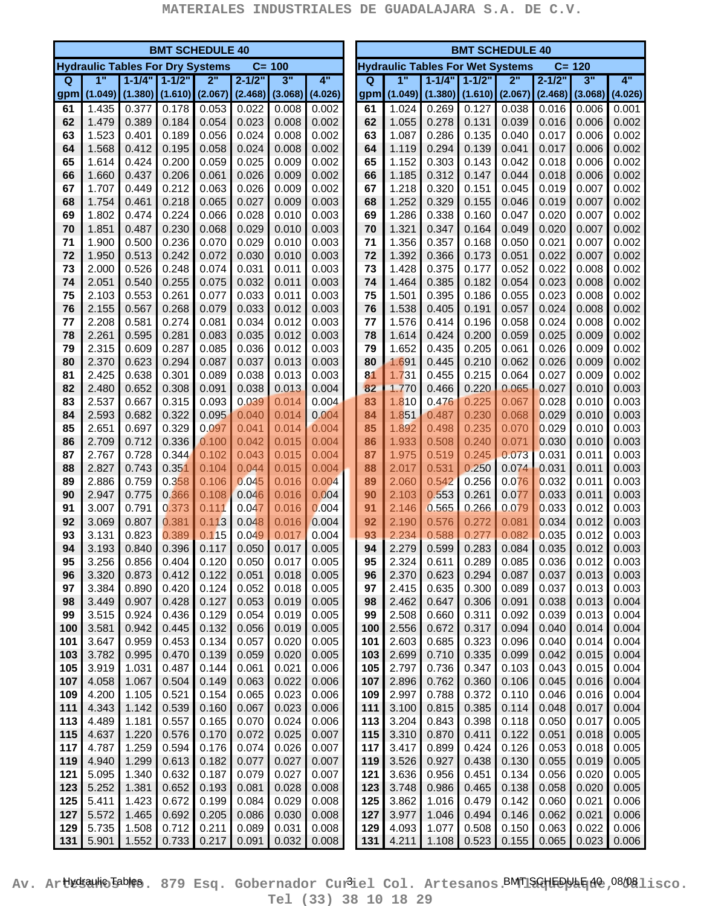. .

| <b>BMT SCHEDULE 40</b> |                                         |                |                |                |                |                |                  |  | <b>BMT SCHEDULE 40</b><br><b>Hydraulic Tables For Wet Systems</b> |                |                     |                |                |                |                |                  |
|------------------------|-----------------------------------------|----------------|----------------|----------------|----------------|----------------|------------------|--|-------------------------------------------------------------------|----------------|---------------------|----------------|----------------|----------------|----------------|------------------|
|                        | <b>Hydraulic Tables For Dry Systems</b> |                |                |                |                | $C = 100$      |                  |  |                                                                   |                |                     |                |                |                | $C = 120$      |                  |
| $\Omega$               | 1"                                      | $1 - 1/4$      | $1 - 1/2"$     | 2"             | $2 - 1/2"$     | 3"             | $\overline{4}$ " |  | $\Omega$                                                          | $\overline{1}$ | $1 - 1/4"$          | $1 - 1/2"$     | 2"             | $2 - 1/2$      | 3"             | $\overline{4}$ " |
| gpm                    | (1.049)                                 | (1.380)        | (1.610)        | (2.067)        | (2.468)        | (3.068)        | (4.026)          |  | gpm                                                               |                | $(1.049)$ $(1.380)$ | (1.610)        | (2.067)        | (2.468)        | (3.068)        | (4.026)          |
| 61                     | 1.435                                   | 0.377          | 0.178          | 0.053          | 0.022          | 0.008          | 0.002            |  | 61                                                                | 1.024          | 0.269               | 0.127          | 0.038          | 0.016          | 0.006          | 0.001            |
| 62                     | 1.479                                   | 0.389          | 0.184          | 0.054          | 0.023          | 0.008          | 0.002            |  | 62                                                                | 1.055          | 0.278               | 0.131          | 0.039          | 0.016          | 0.006          | 0.002            |
| 63                     | 1.523                                   | 0.401          | 0.189          | 0.056          | 0.024          | 0.008          | 0.002            |  | 63                                                                | 1.087          | 0.286               | 0.135          | 0.040          | 0.017          | 0.006          | 0.002            |
| 64                     | 1.568                                   | 0.412          | 0.195          | 0.058          | 0.024          | 0.008          | 0.002            |  | 64                                                                | 1.119          | 0.294               | 0.139          | 0.041          | 0.017          | 0.006          | 0.002            |
| 65                     | 1.614                                   | 0.424          | 0.200          | 0.059          | 0.025          | 0.009          | 0.002            |  | 65                                                                | 1.152          | 0.303               | 0.143          | 0.042          | 0.018          | 0.006          | 0.002            |
| 66                     | 1.660                                   | 0.437          | 0.206          | 0.061          | 0.026          | 0.009          | 0.002            |  | 66                                                                | 1.185          | 0.312               | 0.147          | 0.044          | 0.018          | 0.006          | 0.002            |
| 67                     | 1.707                                   | 0.449          | 0.212          | 0.063          | 0.026          | 0.009          | 0.002            |  | 67                                                                | 1.218          | 0.320               | 0.151          | 0.045          | 0.019          | 0.007          | 0.002            |
| 68                     | 1.754                                   | 0.461          | 0.218          | 0.065          | 0.027          | 0.009          | 0.003            |  | 68                                                                | 1.252          | 0.329               | 0.155          | 0.046          | 0.019          | 0.007          | 0.002            |
| 69<br>70               | 1.802<br>1.851                          | 0.474<br>0.487 | 0.224<br>0.230 | 0.066<br>0.068 | 0.028<br>0.029 | 0.010<br>0.010 | 0.003<br>0.003   |  | 69<br>70                                                          | 1.286<br>1.321 | 0.338<br>0.347      | 0.160<br>0.164 | 0.047<br>0.049 | 0.020<br>0.020 | 0.007<br>0.007 | 0.002<br>0.002   |
| 71                     | 1.900                                   | 0.500          | 0.236          | 0.070          | 0.029          | 0.010          | 0.003            |  | 71                                                                | 1.356          | 0.357               | 0.168          | 0.050          | 0.021          | 0.007          | 0.002            |
| 72                     | 1.950                                   | 0.513          | 0.242          | 0.072          | 0.030          | 0.010          | 0.003            |  | 72                                                                | 1.392          | 0.366               | 0.173          | 0.051          | 0.022          | 0.007          | 0.002            |
| 73                     | 2.000                                   | 0.526          | 0.248          | 0.074          | 0.031          | 0.011          | 0.003            |  | 73                                                                | 1.428          | 0.375               | 0.177          | 0.052          | 0.022          | 0.008          | 0.002            |
| 74                     | 2.051                                   | 0.540          | 0.255          | 0.075          | 0.032          | 0.011          | 0.003            |  | 74                                                                | 1.464          | 0.385               | 0.182          | 0.054          | 0.023          | 0.008          | 0.002            |
| 75                     | 2.103                                   | 0.553          | 0.261          | 0.077          | 0.033          | 0.011          | 0.003            |  | 75                                                                | 1.501          | 0.395               | 0.186          | 0.055          | 0.023          | 0.008          | 0.002            |
| 76                     | 2.155                                   | 0.567          | 0.268          | 0.079          | 0.033          | 0.012          | 0.003            |  | 76                                                                | 1.538          | 0.405               | 0.191          | 0.057          | 0.024          | 0.008          | 0.002            |
| 77                     | 2.208                                   | 0.581          | 0.274          | 0.081          | 0.034          | 0.012          | 0.003            |  | 77                                                                | 1.576          | 0.414               | 0.196          | 0.058          | 0.024          | 0.008          | 0.002            |
| 78                     | 2.261                                   | 0.595          | 0.281          | 0.083          | 0.035          | 0.012          | 0.003            |  | 78                                                                | 1.614          | 0.424               | 0.200          | 0.059          | 0.025          | 0.009          | 0.002            |
| 79                     | 2.315                                   | 0.609          | 0.287          | 0.085          | 0.036          | 0.012          | 0.003            |  | 79                                                                | 1.652          | 0.435               | 0.205          | 0.061          | 0.026          | 0.009          | 0.002            |
| 80                     | 2.370                                   | 0.623          | 0.294          | 0.087          | 0.037          | 0.013          | 0.003            |  | 80                                                                | 1.691          | 0.445               | 0.210          | 0.062          | 0.026          | 0.009          | 0.002            |
| 81                     | 2.425                                   | 0.638          | 0.301          | 0.089          | 0.038          | 0.013          | 0.003            |  | 81                                                                | 1.731          | 0.455               | 0.215          | 0.064          | 0.027          | 0.009          | 0.002            |
| 82                     | 2.480                                   | 0.652          | 0.308          | 0.091          | 0.038          | 0.013          | 0.004            |  | 82                                                                | 1.770          | 0.466               | 0.220          | 0.065          | 0.027          | 0.010          | 0.003            |
| 83                     | 2.537                                   | 0.667          | 0.315          | 0.093          | 0.039          | 0.014          | 0.004            |  | 83                                                                | 1.810          | 0.476               | 0.225          | 0.067          | 0.028          | 0.010          | 0.003            |
| 84                     | 2.593                                   | 0.682          | 0.322          | 0.095          | 0.040          | 0.014          | 0.004            |  | 84                                                                | 1.851          | 0.487               | 0.230          | 0.068          | 0.029          | 0.010          | 0.003            |
| 85                     | 2.651                                   | 0.697          | 0.329          | 0.097          | 0.041          | 0.014          | 0.004            |  | 85                                                                | 1.892          | 0.498               | 0.235          | 0.070          | 0.029          | 0.010          | 0.003            |
| 86                     | 2.709                                   | 0.712          | 0.336          | 0.100          | 0.042          | 0.015          | 0.004            |  | 86                                                                | 1.933          | 0.508               | 0.240          | 0.071          | 0.030          | 0.010          | 0.003            |
| 87                     | 2.767                                   | 0.728          | 0.344          | 0.102          | 0.043          | 0.015          | 0.004            |  | 87                                                                | 1.975          | 0.519               | 0.245          | 0.073          | 0.031          | 0.011          | 0.003            |
| 88                     | 2.827                                   | 0.743          | 0.351          | 0.104          | 0.044          | 0.015          | 0.004            |  | 88                                                                | 2.017          | 0.531               | 0.250          | 0.074          | 0.031          | 0.011          | 0.003            |
| 89                     | 2.886                                   | 0.759          | 0.358          | 0.106          | 0.045          | 0.016          | 0.004            |  | 89                                                                | 2.060          | 0.542               | 0.256          | 0.076          | 0.032          | 0.011          | 0.003            |
| 90<br>91               | 2.947<br>3.007                          | 0.775<br>0.791 | 0.366<br>0.373 | 0.108<br>0.111 | 0.046<br>0.047 | 0.016<br>0.016 | 0.004<br>0.004   |  | 90<br>91                                                          | 2.103<br>2.146 | 0.553<br>0.565      | 0.261<br>0.266 | 0.077<br>0.079 | 0.033<br>0.033 | 0.011<br>0.012 | 0.003<br>0.003   |
| 92                     | 3.069                                   | 0.807          | 0.381          | 0.113          | 0.048          | 0.016          | 0.004            |  | 92                                                                | 2.190          | 0.576               | 0.272          | 0.081          | 0.034          | 0.012          | 0.003            |
| 93                     | 3.131                                   | 0.823          | 0.389          | 0.115          | 0.049          | 0.017          | 0.004            |  | 93                                                                | 2.234          | 0.588               | 0.277          | 0.082          | 0.035          | 0.012          | 0.003            |
| 94                     | 3.193                                   | 0.840          | 0.396          | 0.117          | 0.050          | 0.017          | 0.005            |  | 94                                                                | 2.279          | 0.599               | 0.283          | 0.084          | 0.035          | 0.012          | 0.003            |
| 95                     | 3.256                                   | 0.856          | 0.404          | 0.120          | 0.050          | 0.017          | 0.005            |  | 95                                                                | 2.324          | 0.611               | 0.289          | 0.085          | 0.036          | 0.012          | 0.003            |
| 96                     | 3.320                                   | 0.873          | 0.412          | 0.122          | 0.051          | 0.018          | 0.005            |  | 96                                                                | 2.370          | 0.623               | 0.294          | 0.087          | 0.037          | 0.013          | 0.003            |
| 97                     | 3.384                                   | 0.890          | 0.420          | 0.124          | 0.052          | 0.018          | 0.005            |  | 97                                                                | 2.415          | 0.635               | 0.300          | 0.089          | 0.037          | 0.013          | 0.003            |
| 98                     | 3.449                                   | 0.907          | 0.428          | 0.127          | 0.053          | 0.019          | 0.005            |  | 98                                                                | 2.462          | 0.647               | 0.306          | 0.091          | 0.038          | 0.013          | 0.004            |
| 99                     | 3.515                                   | 0.924          | 0.436          | 0.129          | 0.054          | 0.019          | 0.005            |  | 99                                                                | 2.508          | 0.660               | 0.311          | 0.092          | 0.039          | 0.013          | 0.004            |
| 100                    | 3.581                                   | 0.942          | 0.445          | 0.132          | 0.056          | 0.019          | 0.005            |  | 100                                                               | 2.556          | 0.672               | 0.317          | 0.094          | 0.040          | 0.014          | 0.004            |
| 101                    | 3.647                                   | 0.959          | 0.453          | 0.134          | 0.057          | 0.020          | 0.005            |  | 101                                                               | 2.603          | 0.685               | 0.323          | 0.096          | 0.040          | 0.014          | 0.004            |
| 103                    | 3.782                                   | 0.995          | 0.470          | 0.139          | 0.059          | 0.020          | 0.005            |  | 103                                                               | 2.699          | 0.710               | 0.335          | 0.099          | 0.042          | 0.015          | 0.004            |
| 105                    | 3.919                                   | 1.031          | 0.487          | 0.144          | 0.061          | 0.021          | 0.006            |  | 105                                                               | 2.797          | 0.736               | 0.347          | 0.103          | 0.043          | 0.015          | 0.004            |
| 107                    | 4.058                                   | 1.067          | 0.504          | 0.149          | 0.063          | 0.022          | 0.006            |  | 107                                                               | 2.896          | 0.762               | 0.360          | 0.106          | 0.045          | 0.016          | 0.004            |
| 109                    | 4.200                                   | 1.105          | 0.521          | 0.154          | 0.065          | 0.023          | 0.006            |  | 109                                                               | 2.997          | 0.788               | 0.372          | 0.110          | 0.046          | 0.016          | 0.004            |
| 111                    | 4.343                                   | 1.142          | 0.539          | 0.160          | 0.067          | 0.023          | 0.006            |  | 111                                                               | 3.100          | 0.815               | 0.385          | 0.114          | 0.048          | 0.017          | 0.004            |
| 113                    | 4.489                                   | 1.181          | 0.557          | 0.165          | 0.070          | 0.024          | 0.006            |  | 113                                                               | 3.204          | 0.843               | 0.398          | 0.118          | 0.050          | 0.017          | 0.005            |
| 115                    | 4.637                                   | 1.220          | 0.576          | 0.170          | 0.072          | 0.025          | 0.007            |  | 115                                                               | 3.310          | 0.870               | 0.411          | 0.122          | 0.051          | 0.018          | 0.005            |
| 117<br>119             | 4.787                                   | 1.259<br>1.299 | 0.594<br>0.613 | 0.176          | 0.074          | 0.026<br>0.027 | 0.007            |  | 117                                                               | 3.417<br>3.526 | 0.899               | 0.424          | 0.126          | 0.053          | 0.018          | 0.005            |
| 121                    | 4.940<br>5.095                          | 1.340          | 0.632          | 0.182<br>0.187 | 0.077<br>0.079 | 0.027          | 0.007<br>0.007   |  | 119<br>121                                                        | 3.636          | 0.927<br>0.956      | 0.438<br>0.451 | 0.130<br>0.134 | 0.055<br>0.056 | 0.019<br>0.020 | 0.005<br>0.005   |
| 123                    | 5.252                                   | 1.381          | 0.652          | 0.193          | 0.081          | 0.028          | 0.008            |  | 123                                                               | 3.748          | 0.986               | 0.465          | 0.138          | 0.058          | 0.020          | 0.005            |
| 125                    | 5.411                                   | 1.423          | 0.672          | 0.199          | 0.084          | 0.029          | 0.008            |  | 125                                                               | 3.862          | 1.016               | 0.479          | 0.142          | 0.060          | 0.021          | 0.006            |
| 127                    | 5.572                                   | 1.465          | 0.692          | 0.205          | 0.086          | 0.030          | 0.008            |  | 127                                                               | 3.977          | 1.046               | 0.494          | 0.146          | 0.062          | 0.021          | 0.006            |
| 129                    | 5.735                                   | 1.508          | 0.712          | 0.211          | 0.089          | 0.031          | 0.008            |  | 129                                                               | 4.093          | 1.077               | 0.508          | 0.150          | 0.063          | 0.022          | 0.006            |
| 131                    | 5.901                                   | 1.552          | 0.733          | 0.217          | 0.091          | 0.032          | 0.008            |  | 131                                                               | 4.211          | 1.108               | 0.523          | 0.155          | 0.065          | 0.023          | 0.006            |

Av. Ar**tkkaulo Boles**. 879 Esq. Gobernador Cur<sup>3</sup>iel Col. Artesanos.BMT1SGHEDULE1d0,08/081isco. **Tel (33) 38 10 18 29**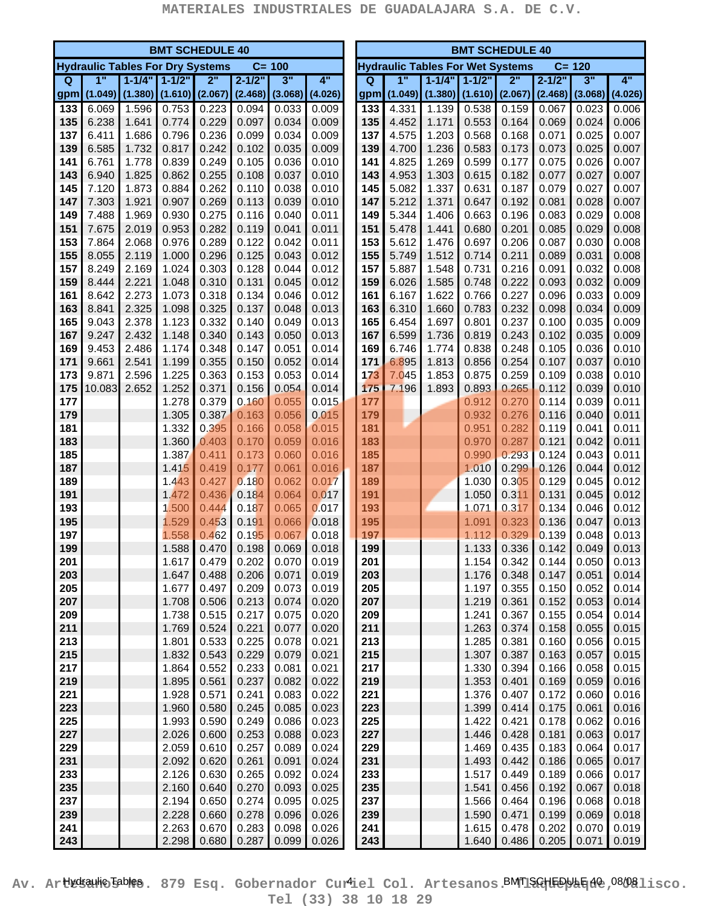. .

|            | <b>BMT SCHEDULE 40</b>                  |                     |                     |                |                |                |                |                                                      |            | <b>BMT SCHEDULE 40</b> |                     |                |                |                |                |                |  |
|------------|-----------------------------------------|---------------------|---------------------|----------------|----------------|----------------|----------------|------------------------------------------------------|------------|------------------------|---------------------|----------------|----------------|----------------|----------------|----------------|--|
|            | <b>Hydraulic Tables For Dry Systems</b> |                     |                     |                |                | $C = 100$      |                | $C = 120$<br><b>Hydraulic Tables For Wet Systems</b> |            |                        |                     |                |                |                |                |                |  |
| Q          | 1"                                      |                     | $1 - 1/4" 1 - 1/2"$ | 2"             | $2 - 1/2$      | 3"             | 4"             |                                                      | $\Omega$   | 1"                     | $1 - 1/4"$          | $1 - 1/2"$     | 2"             | $2 - 1/2$      | 3"             | 4"             |  |
| gpm        | (1.049)                                 | $(1.380)$ $(1.610)$ |                     | (2.067)        | (2.468)        | (3.068)        | (4.026)        |                                                      | gpm        |                        | $(1.049)$ $(1.380)$ | (1.610)        | (2.067)        | (2.468)        | (3.068)        | (4.026)        |  |
| 133        | 6.069                                   | 1.596               | 0.753               | 0.223          | 0.094          | 0.033          | 0.009          |                                                      | 133        | 4.331                  | 1.139               | 0.538          | 0.159          | 0.067          | 0.023          | 0.006          |  |
| 135        | 6.238                                   | 1.641               | 0.774               | 0.229          | 0.097          | 0.034          | 0.009          |                                                      | 135        | 4.452                  | 1.171               | 0.553          | 0.164          | 0.069          | 0.024          | 0.006          |  |
| 137        | 6.411                                   | 1.686               | 0.796               | 0.236          | 0.099          | 0.034          | 0.009          |                                                      | 137        | 4.575                  | 1.203               | 0.568          | 0.168          | 0.071          | 0.025          | 0.007          |  |
| 139        | 6.585                                   | 1.732               | 0.817               | 0.242          | 0.102          | 0.035          | 0.009          |                                                      | 139        | 4.700                  | 1.236               | 0.583          | 0.173          | 0.073          | 0.025          | 0.007          |  |
| 141        | 6.761                                   | 1.778               | 0.839               | 0.249          | 0.105          | 0.036          | 0.010          |                                                      | 141        | 4.825                  | 1.269               | 0.599          | 0.177          | 0.075          | 0.026          | 0.007          |  |
| 143        | 6.940                                   | 1.825               | 0.862               | 0.255          | 0.108          | 0.037          | 0.010          |                                                      | 143        | 4.953                  | 1.303               | 0.615          | 0.182          | 0.077          | 0.027          | 0.007          |  |
| 145        | 7.120                                   | 1.873               | 0.884               | 0.262          | 0.110          | 0.038          | 0.010          |                                                      | 145        | 5.082                  | 1.337               | 0.631          | 0.187          | 0.079          | 0.027          | 0.007          |  |
| 147        | 7.303                                   | 1.921               | 0.907               | 0.269          | 0.113          | 0.039          | 0.010          |                                                      | 147        | 5.212                  | 1.371               | 0.647          | 0.192          | 0.081          | 0.028          | 0.007          |  |
| 149<br>151 | 7.488<br>7.675                          | 1.969<br>2.019      | 0.930<br>0.953      | 0.275<br>0.282 | 0.116<br>0.119 | 0.040<br>0.041 | 0.011<br>0.011 |                                                      | 149<br>151 | 5.344<br>5.478         | 1.406<br>1.441      | 0.663<br>0.680 | 0.196<br>0.201 | 0.083<br>0.085 | 0.029<br>0.029 | 0.008<br>0.008 |  |
| 153        | 7.864                                   | 2.068               | 0.976               | 0.289          | 0.122          | 0.042          | 0.011          |                                                      | 153        | 5.612                  | 1.476               | 0.697          | 0.206          | 0.087          | 0.030          | 0.008          |  |
| 155        | 8.055                                   | 2.119               | 1.000               | 0.296          | 0.125          | 0.043          | 0.012          |                                                      | 155        | 5.749                  | 1.512               | 0.714          | 0.211          | 0.089          | 0.031          | 0.008          |  |
| 157        | 8.249                                   | 2.169               | 1.024               | 0.303          | 0.128          | 0.044          | 0.012          |                                                      | 157        | 5.887                  | 1.548               | 0.731          | 0.216          | 0.091          | 0.032          | 0.008          |  |
| 159        | 8.444                                   | 2.221               | 1.048               | 0.310          | 0.131          | 0.045          | 0.012          |                                                      | 159        | 6.026                  | 1.585               | 0.748          | 0.222          | 0.093          | 0.032          | 0.009          |  |
| 161        | 8.642                                   | 2.273               | 1.073               | 0.318          | 0.134          | 0.046          | 0.012          |                                                      | 161        | 6.167                  | 1.622               | 0.766          | 0.227          | 0.096          | 0.033          | 0.009          |  |
| 163        | 8.841                                   | 2.325               | 1.098               | 0.325          | 0.137          | 0.048          | 0.013          |                                                      | 163        | 6.310                  | 1.660               | 0.783          | 0.232          | 0.098          | 0.034          | 0.009          |  |
| 165        | 9.043                                   | 2.378               | 1.123               | 0.332          | 0.140          | 0.049          | 0.013          |                                                      | 165        | 6.454                  | 1.697               | 0.801          | 0.237          | 0.100          | 0.035          | 0.009          |  |
| 167        | 9.247                                   | 2.432               | 1.148               | 0.340          | 0.143          | 0.050          | 0.013          |                                                      | 167        | 6.599                  | 1.736               | 0.819          | 0.243          | 0.102          | 0.035          | 0.009          |  |
| 169        | 9.453                                   | 2.486               | 1.174               | 0.348          | 0.147          | 0.051          | 0.014          |                                                      | 169        | 6.746                  | 1.774               | 0.838          | 0.248          | 0.105          | 0.036          | 0.010          |  |
| 171        | 9.661                                   | 2.541               | 1.199               | 0.355          | 0.150          | 0.052          | 0.014          |                                                      | 171        | 6.895                  | 1.813               | 0.856          | 0.254          | 0.107          | 0.037          | 0.010          |  |
| 173        | 9.871                                   | 2.596               | 1.225               | 0.363          | 0.153          | 0.053          | 0.014          |                                                      | 173        | 7.045                  | 1.853               | 0.875          | 0.259          | 0.109          | 0.038          | 0.010          |  |
| 175        | 10.083                                  | 2.652               | 1.252               | 0.371          | 0.156          | 0.054          | 0.014          |                                                      | 175        | 7.196                  | 1.893               | 0.893          | 0.265          | 0.112          | 0.039          | 0.010          |  |
| 177        |                                         |                     | 1.278               | 0.379          | 0.160          | 0.055          | 0.015          |                                                      | 177        |                        |                     | 0.912          | 0.270          | 0.114          | 0.039          | 0.011          |  |
| 179        |                                         |                     | 1.305               | 0.387          | 0.163          | 0.056          | 0.015          |                                                      | 179        |                        |                     | 0.932          | 0.276          | 0.116          | 0.040          | 0.011          |  |
| 181        |                                         |                     | 1.332               | 0.395          | 0.166          | 0.058          | 0.015          |                                                      | 181        |                        |                     | 0.951          | 0.282          | 0.119          | 0.041          | 0.011          |  |
| 183        |                                         |                     | 1.360               | 0.403          | 0.170          | 0.059          | 0.016          |                                                      | 183        |                        |                     | 0.970          | 0.287          | 0.121          | 0.042          | 0.011          |  |
| 185        |                                         |                     | 1.387               | 0.411          | 0.173          | 0.060          | 0.016          |                                                      | 185        |                        |                     | 0.990          | 0.293          | 0.124          | 0.043          | 0.011          |  |
| 187        |                                         |                     | 1.415               | 0.419          | 0.177          | 0.061          | 0.016          |                                                      | 187        |                        |                     | 1.010          | 0.299          | 0.126          | 0.044          | 0.012          |  |
| 189<br>191 |                                         |                     | 1.443<br>1.472      | 0.427<br>0.436 | 0.180<br>0.184 | 0.062<br>0.064 | 0.017<br>0.017 |                                                      | 189<br>191 |                        |                     | 1.030<br>1.050 | 0.305<br>0.311 | 0.129<br>0.131 | 0.045<br>0.045 | 0.012<br>0.012 |  |
| 193        |                                         |                     | 1.500               | 0.444          | 0.187          | 0.065          | 0.017          |                                                      | 193        |                        |                     | 1.071          | 0.317          | 0.134          | 0.046          | 0.012          |  |
| 195        |                                         |                     | 1.529               | 0.453          | 0.191          | 0.066          | 0.018          |                                                      | 195        |                        |                     | 1.091          | 0.323          | 0.136          | 0.047          | 0.013          |  |
| 197        |                                         |                     | 1.558               | 0.462          | 0.195          | 0.067          | 0.018          |                                                      | 197        |                        |                     | 1.112          | 0.329          | 0.139          | 0.048          | 0.013          |  |
| 199        |                                         |                     | 1.588               | 0.470          | 0.198          | 0.069          | 0.018          |                                                      | 199        |                        |                     | 1.133          | 0.336          | 0.142          | 0.049          | 0.013          |  |
| 201        |                                         |                     | 1.617               | 0.479          | 0.202          | 0.070          | 0.019          |                                                      | 201        |                        |                     | 1.154          | 0.342          | 0.144          | 0.050          | 0.013          |  |
| 203        |                                         |                     | 1.647               | 0.488          | 0.206          | 0.071          | 0.019          |                                                      | 203        |                        |                     | 1.176          | 0.348          | 0.147          | 0.051          | 0.014          |  |
| 205        |                                         |                     | 1.677               | 0.497          | 0.209          | 0.073          | 0.019          |                                                      | 205        |                        |                     | 1.197          | 0.355          | 0.150          | 0.052          | 0.014          |  |
| 207        |                                         |                     | 1.708               | 0.506          | 0.213          | 0.074          | 0.020          |                                                      | 207        |                        |                     | 1.219          | 0.361          | 0.152          | 0.053          | 0.014          |  |
| 209        |                                         |                     | 1.738               | 0.515          | 0.217          | 0.075          | 0.020          |                                                      | 209        |                        |                     | 1.241          | 0.367          | 0.155          | 0.054          | 0.014          |  |
| 211        |                                         |                     | 1.769               | 0.524          | 0.221          | 0.077          | 0.020          |                                                      | 211        |                        |                     | 1.263          | 0.374          | 0.158          | 0.055          | 0.015          |  |
| 213        |                                         |                     | 1.801               | 0.533          | 0.225          | 0.078          | 0.021          |                                                      | 213        |                        |                     | 1.285          | 0.381          | 0.160          | 0.056          | 0.015          |  |
| 215        |                                         |                     | 1.832               | 0.543          | 0.229          | 0.079          | 0.021          |                                                      | 215        |                        |                     | 1.307          | 0.387          | 0.163          | 0.057          | 0.015          |  |
| 217        |                                         |                     | 1.864               | 0.552          | 0.233          | 0.081          | 0.021          |                                                      | 217        |                        |                     | 1.330          | 0.394          | 0.166          | 0.058          | 0.015          |  |
| 219        |                                         |                     | 1.895               | 0.561          | 0.237          | 0.082          | 0.022          |                                                      | 219        |                        |                     | 1.353          | 0.401          | 0.169          | 0.059          | 0.016          |  |
| 221        |                                         |                     | 1.928               | 0.571          | 0.241          | 0.083          | 0.022          |                                                      | 221        |                        |                     | 1.376          | 0.407          | 0.172          | 0.060          | 0.016          |  |
| 223        |                                         |                     | 1.960               | 0.580          | 0.245          | 0.085          | 0.023          |                                                      | 223        |                        |                     | 1.399          | 0.414          | 0.175          | 0.061          | 0.016          |  |
| 225        |                                         |                     | 1.993               | 0.590          | 0.249          | 0.086          | 0.023          |                                                      | 225        |                        |                     | 1.422          | 0.421          | 0.178          | 0.062          | 0.016          |  |
| 227<br>229 |                                         |                     | 2.026<br>2.059      | 0.600<br>0.610 | 0.253<br>0.257 | 0.088<br>0.089 | 0.023<br>0.024 |                                                      | 227<br>229 |                        |                     | 1.446<br>1.469 | 0.428<br>0.435 | 0.181<br>0.183 | 0.063<br>0.064 | 0.017<br>0.017 |  |
| 231        |                                         |                     | 2.092               | 0.620          | 0.261          | 0.091          | 0.024          |                                                      | 231        |                        |                     | 1.493          | 0.442          | 0.186          | 0.065          | 0.017          |  |
| 233        |                                         |                     | 2.126               | 0.630          | 0.265          | 0.092          | 0.024          |                                                      | 233        |                        |                     | 1.517          | 0.449          | 0.189          | 0.066          | 0.017          |  |
| 235        |                                         |                     | 2.160               | 0.640          | 0.270          | 0.093          | 0.025          |                                                      | 235        |                        |                     | 1.541          | 0.456          | 0.192          | 0.067          | 0.018          |  |
| 237        |                                         |                     | 2.194               | 0.650          | 0.274          | 0.095          | 0.025          |                                                      | 237        |                        |                     | 1.566          | 0.464          | 0.196          | 0.068          | 0.018          |  |
| 239        |                                         |                     | 2.228               | 0.660          | 0.278          | 0.096          | 0.026          |                                                      | 239        |                        |                     | 1.590          | 0.471          | 0.199          | 0.069          | 0.018          |  |
| 241        |                                         |                     | 2.263               | 0.670          | 0.283          | 0.098          | 0.026          |                                                      | 241        |                        |                     | 1.615          | 0.478          | 0.202          | 0.070          | 0.019          |  |
| 243        |                                         |                     | 2.298               | 0.680          | 0.287          | 0.099          | 0.026          |                                                      | 243        |                        |                     | 1.640          | 0.486          | 0.205          | 0.071          | 0.019          |  |

Av. Ar**tkkaulo Boles**. 879 Esq. Gobernador Cur<sup>l</sup>iel Col. Artesanos. MTISG IED UE 108/08 lisco. **Tel (33) 38 10 18 29**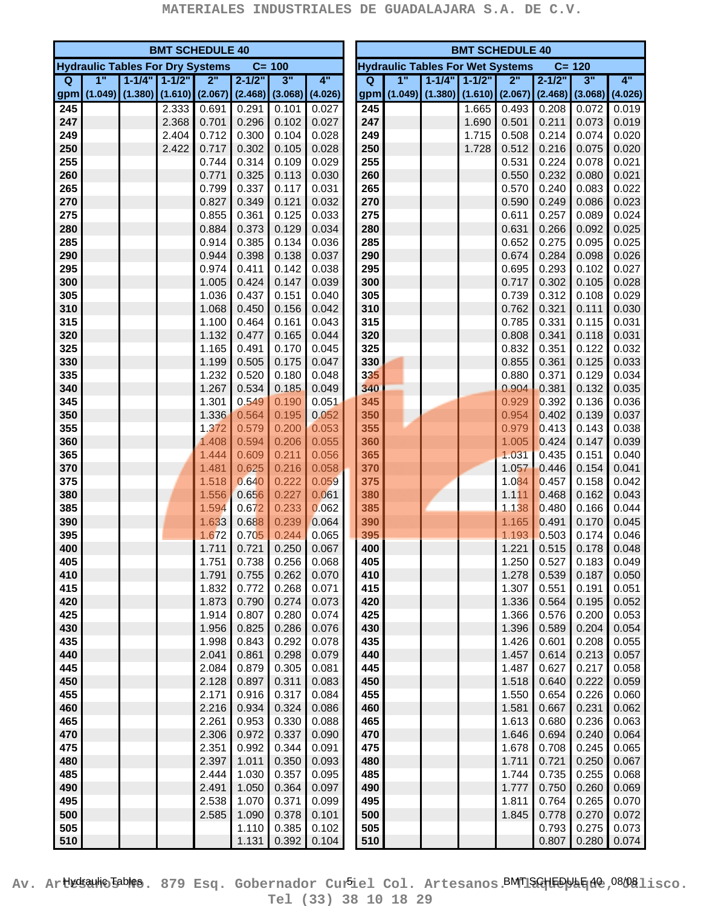|            | <b>BMT SCHEDULE 40</b> |                                         |       |                |                |                |                     |                                                      | <b>BMT SCHEDULE 40</b> |         |            |           |                |                |                |                |  |
|------------|------------------------|-----------------------------------------|-------|----------------|----------------|----------------|---------------------|------------------------------------------------------|------------------------|---------|------------|-----------|----------------|----------------|----------------|----------------|--|
|            |                        | <b>Hydraulic Tables For Dry Systems</b> |       |                |                | $C = 100$      |                     | <b>Hydraulic Tables For Wet Systems</b><br>$C = 120$ |                        |         |            |           |                |                |                |                |  |
| Q          | 1"                     | $1 - 1/4" 1 - 1/2"$                     |       | 2"             | $2 - 1/2"$     | 3"             | 4"                  |                                                      | $\Omega$               | 1"      | $1 - 1/4"$ | $1 - 1/2$ | 2"             | $2 - 1/2"$     | 3"             | 4"             |  |
| gpm        | (1.049)                | $(1.380)$ $(1.610)$                     |       | (2.067)        | (2.468)        |                | $(3.068)$ $(4.026)$ |                                                      | gpm                    | (1.049) | (1.380)    | (1.610)   | (2.067)        | (2.468)        | (3.068)        | (4.026)        |  |
| 245        |                        |                                         | 2.333 | 0.691          | 0.291          | 0.101          | 0.027               |                                                      | 245                    |         |            | 1.665     | 0.493          | 0.208          | 0.072          | 0.019          |  |
| 247        |                        |                                         | 2.368 | 0.701          | 0.296          | 0.102          | 0.027               |                                                      | 247                    |         |            | 1.690     | 0.501          | 0.211          | 0.073          | 0.019          |  |
| 249        |                        |                                         | 2.404 | 0.712          | 0.300          | 0.104          | 0.028               |                                                      | 249                    |         |            | 1.715     | 0.508          | 0.214          | 0.074          | 0.020          |  |
| 250        |                        |                                         | 2.422 | 0.717          | 0.302          | 0.105          | 0.028               |                                                      | 250                    |         |            | 1.728     | 0.512          | 0.216          | 0.075          | 0.020          |  |
| 255        |                        |                                         |       | 0.744          | 0.314          | 0.109          | 0.029               |                                                      | 255                    |         |            |           | 0.531          | 0.224          | 0.078          | 0.021          |  |
| 260        |                        |                                         |       | 0.771          | 0.325          | 0.113          | 0.030               |                                                      | 260                    |         |            |           | 0.550          | 0.232          | 0.080          | 0.021          |  |
| 265        |                        |                                         |       | 0.799          | 0.337          | 0.117          | 0.031               |                                                      | 265                    |         |            |           | 0.570          | 0.240          | 0.083          | 0.022          |  |
| 270        |                        |                                         |       | 0.827          | 0.349          | 0.121          | 0.032               |                                                      | 270                    |         |            |           | 0.590          | 0.249          | 0.086          | 0.023          |  |
| 275        |                        |                                         |       | 0.855          | 0.361          | 0.125          | 0.033               |                                                      | 275                    |         |            |           | 0.611          | 0.257          | 0.089          | 0.024          |  |
| 280        |                        |                                         |       | 0.884          | 0.373          | 0.129          | 0.034               |                                                      | 280                    |         |            |           | 0.631          | 0.266          | 0.092          | 0.025          |  |
| 285        |                        |                                         |       | 0.914          | 0.385          | 0.134          | 0.036               |                                                      | 285                    |         |            |           | 0.652          | 0.275          | 0.095          | 0.025          |  |
| 290        |                        |                                         |       | 0.944          | 0.398          | 0.138          | 0.037               |                                                      | 290                    |         |            |           | 0.674          | 0.284          | 0.098          | 0.026          |  |
| 295        |                        |                                         |       | 0.974          | 0.411          | 0.142          | 0.038               |                                                      | 295                    |         |            |           | 0.695          | 0.293          | 0.102          | 0.027          |  |
| 300        |                        |                                         |       | 1.005          | 0.424          | 0.147          | 0.039               |                                                      | 300                    |         |            |           | 0.717          | 0.302          | 0.105          | 0.028          |  |
| 305        |                        |                                         |       | 1.036          | 0.437          | 0.151          | 0.040               |                                                      | 305                    |         |            |           | 0.739          | 0.312          | 0.108          | 0.029          |  |
| 310        |                        |                                         |       | 1.068          | 0.450          | 0.156          | 0.042               |                                                      | 310                    |         |            |           | 0.762          | 0.321          | 0.111          | 0.030          |  |
| 315        |                        |                                         |       | 1.100          | 0.464          | 0.161          | 0.043               |                                                      | 315                    |         |            |           | 0.785          | 0.331          | 0.115          | 0.031          |  |
| 320        |                        |                                         |       | 1.132          | 0.477          | 0.165          | 0.044               |                                                      | 320                    |         |            |           | 0.808          | 0.341          | 0.118          | 0.031          |  |
| 325        |                        |                                         |       | 1.165          | 0.491          | 0.170          | 0.045               |                                                      | 325                    |         |            |           | 0.832          | 0.351          | 0.122          | 0.032          |  |
| 330        |                        |                                         |       | 1.199          | 0.505          | 0.175          | 0.047               |                                                      | 330                    |         |            |           | 0.855          | 0.361          | 0.125<br>0.129 | 0.033          |  |
| 335<br>340 |                        |                                         |       | 1.232<br>1.267 | 0.520<br>0.534 | 0.180<br>0.185 | 0.048<br>0.049      |                                                      | 335<br>340             |         |            |           | 0.880<br>0.904 | 0.371<br>0.381 | 0.132          | 0.034<br>0.035 |  |
| 345        |                        |                                         |       | 1.301          | 0.549          | 0.190          | 0.051               |                                                      | 345                    |         |            |           | 0.929          | 0.392          | 0.136          | 0.036          |  |
| 350        |                        |                                         |       | 1.336          | 0.564          | 0.195          | 0.052               |                                                      | 350                    |         |            |           | 0.954          | 0.402          | 0.139          | 0.037          |  |
| 355        |                        |                                         |       | 1.372          | 0.579          | 0.200          | 0.053               |                                                      | 355                    |         |            |           | 0.979          | 0.413          | 0.143          | 0.038          |  |
| 360        |                        |                                         |       | 1.408          | 0.594          | 0.206          | 0.055               |                                                      | 360                    |         |            |           | 1.005          | 0.424          | 0.147          | 0.039          |  |
| 365        |                        |                                         |       | 1.444          | 0.609          | 0.211          | 0.056               |                                                      | 365                    |         |            |           | 1.031          | 0.435          | 0.151          | 0.040          |  |
| 370        |                        |                                         |       | 1.481          | 0.625          | 0.216          | 0.058               |                                                      | 370                    |         |            |           | 1.057          | 0.446          | 0.154          | 0.041          |  |
| 375        |                        |                                         |       | 1.518          | 0.640          | 0.222          | 0.059               |                                                      | 375                    |         |            |           | 1.084          | 0.457          | 0.158          | 0.042          |  |
| 380        |                        |                                         |       | 1.556          | 0.656          | 0.227          | 0.061               |                                                      | 380                    |         |            |           | 1.111          | 0.468          | 0.162          | 0.043          |  |
| 385        |                        |                                         |       | 1.594          | 0.672          | 0.233          | 0.062               |                                                      | 385                    |         |            |           | 1.138          | 0.480          | 0.166          | 0.044          |  |
| 390        |                        |                                         |       | 1.633          | 0.688          | 0.239          | 0.064               |                                                      | 390                    |         |            |           | 1.165          | 0.491          | 0.170          | 0.045          |  |
| 395        |                        |                                         |       | 1.672          | 0.705          | 0.244          | 0.065               |                                                      | 395                    |         |            |           | 1.193          | 0.503          | 0.174          | 0.046          |  |
| 400        |                        |                                         |       | 1.711          | 0.721          | 0.250          | 0.067               |                                                      | 400                    |         |            |           | 1.221          | 0.515          | 0.178          | 0.048          |  |
| 405        |                        |                                         |       | 1.751          | 0.738          | 0.256          | 0.068               |                                                      | 405                    |         |            |           | 1.250          | 0.527          | 0.183          | 0.049          |  |
| 410        |                        |                                         |       | 1.791          | 0.755          | 0.262          | 0.070               |                                                      | 410                    |         |            |           | 1.278          | 0.539          | 0.187          | 0.050          |  |
| 415        |                        |                                         |       | 1.832          | 0.772          | 0.268          | 0.071               |                                                      | 415                    |         |            |           | 1.307          | 0.551          | 0.191          | 0.051          |  |
| 420        |                        |                                         |       | 1.873          | 0.790          | 0.274          | 0.073               |                                                      | 420                    |         |            |           | 1.336          | 0.564          | 0.195          | 0.052          |  |
| 425        |                        |                                         |       | 1.914          | 0.807          | 0.280          | 0.074               |                                                      | 425                    |         |            |           | 1.366          | 0.576          | 0.200          | 0.053          |  |
| 430        |                        |                                         |       | 1.956          | 0.825          | 0.286          | 0.076               |                                                      | 430                    |         |            |           | 1.396          | 0.589          | 0.204          | 0.054          |  |
| 435        |                        |                                         |       | 1.998          | 0.843          | 0.292          | 0.078               |                                                      | 435                    |         |            |           | 1.426          | 0.601          | 0.208          | 0.055          |  |
| 440        |                        |                                         |       | 2.041          | 0.861          | 0.298          | 0.079               |                                                      | 440                    |         |            |           | 1.457          | 0.614          | 0.213          | 0.057          |  |
| 445        |                        |                                         |       | 2.084          | 0.879          | 0.305          | 0.081               |                                                      | 445                    |         |            |           | 1.487          | 0.627          | 0.217          | 0.058          |  |
| 450<br>455 |                        |                                         |       | 2.128<br>2.171 | 0.897<br>0.916 | 0.311<br>0.317 | 0.083<br>0.084      |                                                      | 450<br>455             |         |            |           | 1.518<br>1.550 | 0.640<br>0.654 | 0.222<br>0.226 | 0.059<br>0.060 |  |
| 460        |                        |                                         |       | 2.216          | 0.934          | 0.324          | 0.086               |                                                      | 460                    |         |            |           | 1.581          | 0.667          | 0.231          | 0.062          |  |
| 465        |                        |                                         |       | 2.261          | 0.953          | 0.330          | 0.088               |                                                      | 465                    |         |            |           | 1.613          | 0.680          | 0.236          | 0.063          |  |
| 470        |                        |                                         |       | 2.306          | 0.972          | 0.337          | 0.090               |                                                      | 470                    |         |            |           | 1.646          | 0.694          | 0.240          | 0.064          |  |
| 475        |                        |                                         |       | 2.351          | 0.992          | 0.344          | 0.091               |                                                      | 475                    |         |            |           | 1.678          | 0.708          | 0.245          | 0.065          |  |
| 480        |                        |                                         |       | 2.397          | 1.011          | 0.350          | 0.093               |                                                      | 480                    |         |            |           | 1.711          | 0.721          | 0.250          | 0.067          |  |
| 485        |                        |                                         |       | 2.444          | 1.030          | 0.357          | 0.095               |                                                      | 485                    |         |            |           | 1.744          | 0.735          | 0.255          | 0.068          |  |
| 490        |                        |                                         |       | 2.491          | 1.050          | 0.364          | 0.097               |                                                      | 490                    |         |            |           | 1.777          | 0.750          | 0.260          | 0.069          |  |
| 495        |                        |                                         |       | 2.538          | 1.070          | 0.371          | 0.099               |                                                      | 495                    |         |            |           | 1.811          | 0.764          | 0.265          | 0.070          |  |
| 500        |                        |                                         |       | 2.585          | 1.090          | 0.378          | 0.101               |                                                      | 500                    |         |            |           | 1.845          | 0.778          | 0.270          | 0.072          |  |
| 505        |                        |                                         |       |                | 1.110          | 0.385          | 0.102               |                                                      | 505                    |         |            |           |                | 0.793          | 0.275          | 0.073          |  |
| 510        |                        |                                         |       |                | 1.131          | 0.392          | 0.104               |                                                      | 510                    |         |            |           |                | 0.807          | 0.280          | 0.074          |  |

Av. Ar**tkkaulo Boles**. 879 Esq. Gobernador Cur<sup>6</sup>iel Col. Artesanos.BMT1SGHEDULE1d0,08/081isco. **Tel (33) 38 10 18 29**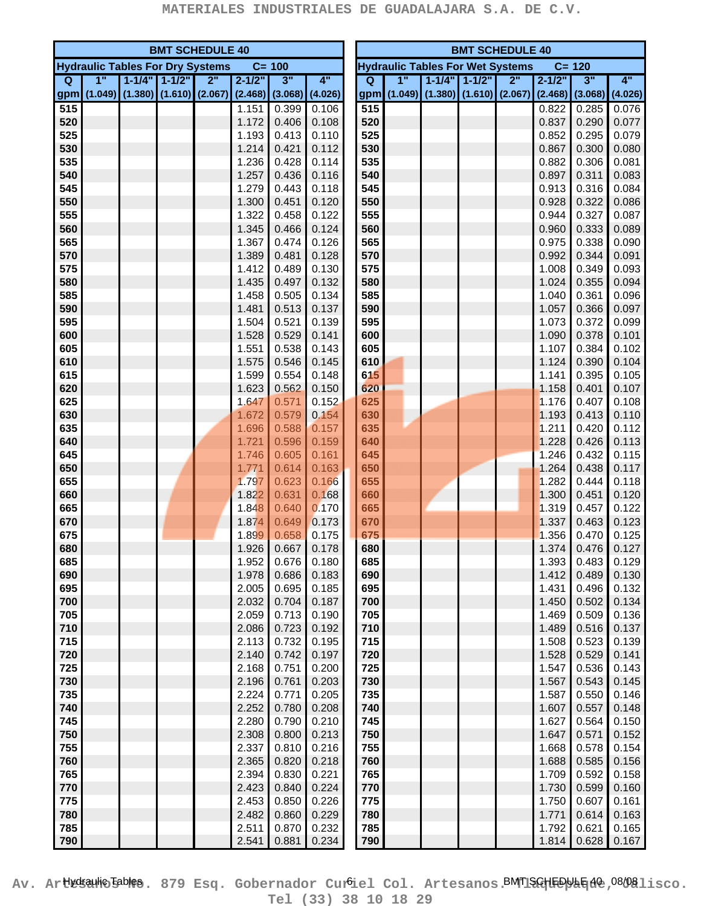|     | <b>BMT SCHEDULE 40</b> |                                         |                     |    |            |           |                     |                                                      | <b>BMT SCHEDULE 40</b> |             |                     |                     |         |            |         |         |  |
|-----|------------------------|-----------------------------------------|---------------------|----|------------|-----------|---------------------|------------------------------------------------------|------------------------|-------------|---------------------|---------------------|---------|------------|---------|---------|--|
|     |                        | <b>Hydraulic Tables For Dry Systems</b> |                     |    |            | $C = 100$ |                     | $C = 120$<br><b>Hydraulic Tables For Wet Systems</b> |                        |             |                     |                     |         |            |         |         |  |
| Q   | 1"                     |                                         | $1 - 1/4" 1 - 1/2"$ | 2" | $2 - 1/2"$ | 3"        | 4"                  |                                                      | Q                      | 1"          |                     | $1 - 1/4" 1 - 1/2"$ | 2"      | $2 - 1/2"$ | 3"      | 4"      |  |
|     |                        | gpm (1.049) (1.380) (1.610) (2.067)     |                     |    | (2.468)    |           | $(3.068)$ $(4.026)$ |                                                      |                        | gpm (1.049) | $(1.380)$ $(1.610)$ |                     | (2.067) | (2.468)    | (3.068) | (4.026) |  |
| 515 |                        |                                         |                     |    | 1.151      | 0.399     | 0.106               |                                                      | 515                    |             |                     |                     |         | 0.822      | 0.285   | 0.076   |  |
| 520 |                        |                                         |                     |    | 1.172      | 0.406     | 0.108               |                                                      | 520                    |             |                     |                     |         | 0.837      | 0.290   | 0.077   |  |
| 525 |                        |                                         |                     |    | 1.193      | 0.413     | 0.110               |                                                      | 525                    |             |                     |                     |         | 0.852      | 0.295   | 0.079   |  |
| 530 |                        |                                         |                     |    | 1.214      | 0.421     | 0.112               |                                                      | 530                    |             |                     |                     |         | 0.867      | 0.300   | 0.080   |  |
| 535 |                        |                                         |                     |    | 1.236      | 0.428     | 0.114               |                                                      | 535                    |             |                     |                     |         | 0.882      | 0.306   | 0.081   |  |
| 540 |                        |                                         |                     |    | 1.257      | 0.436     | 0.116               |                                                      | 540                    |             |                     |                     |         | 0.897      | 0.311   | 0.083   |  |
| 545 |                        |                                         |                     |    | 1.279      | 0.443     | 0.118               |                                                      | 545                    |             |                     |                     |         | 0.913      | 0.316   | 0.084   |  |
| 550 |                        |                                         |                     |    | 1.300      | 0.451     | 0.120               |                                                      | 550                    |             |                     |                     |         | 0.928      | 0.322   | 0.086   |  |
| 555 |                        |                                         |                     |    | 1.322      | 0.458     | 0.122               |                                                      | 555                    |             |                     |                     |         | 0.944      | 0.327   | 0.087   |  |
| 560 |                        |                                         |                     |    | 1.345      | 0.466     | 0.124               |                                                      | 560                    |             |                     |                     |         | 0.960      | 0.333   | 0.089   |  |
| 565 |                        |                                         |                     |    | 1.367      | 0.474     | 0.126               |                                                      | 565                    |             |                     |                     |         | 0.975      | 0.338   | 0.090   |  |
| 570 |                        |                                         |                     |    | 1.389      | 0.481     | 0.128               |                                                      | 570                    |             |                     |                     |         | 0.992      | 0.344   | 0.091   |  |
| 575 |                        |                                         |                     |    | 1.412      | 0.489     | 0.130               |                                                      | 575                    |             |                     |                     |         | 1.008      | 0.349   | 0.093   |  |
| 580 |                        |                                         |                     |    | 1.435      | 0.497     | 0.132               |                                                      | 580                    |             |                     |                     |         | 1.024      | 0.355   | 0.094   |  |
| 585 |                        |                                         |                     |    | 1.458      | 0.505     | 0.134               |                                                      | 585                    |             |                     |                     |         | 1.040      | 0.361   | 0.096   |  |
| 590 |                        |                                         |                     |    | 1.481      | 0.513     | 0.137               |                                                      | 590                    |             |                     |                     |         | 1.057      | 0.366   | 0.097   |  |
| 595 |                        |                                         |                     |    | 1.504      | 0.521     | 0.139               |                                                      | 595                    |             |                     |                     |         | 1.073      | 0.372   | 0.099   |  |
| 600 |                        |                                         |                     |    | 1.528      | 0.529     | 0.141               |                                                      | 600                    |             |                     |                     |         | 1.090      | 0.378   | 0.101   |  |
| 605 |                        |                                         |                     |    | 1.551      | 0.538     | 0.143               |                                                      | 605                    |             |                     |                     |         | 1.107      | 0.384   | 0.102   |  |
| 610 |                        |                                         |                     |    | 1.575      | 0.546     | 0.145               |                                                      | 610                    |             |                     |                     |         | 1.124      | 0.390   | 0.104   |  |
| 615 |                        |                                         |                     |    | 1.599      | 0.554     | 0.148               |                                                      | 615                    |             |                     |                     |         | 1.141      | 0.395   | 0.105   |  |
| 620 |                        |                                         |                     |    | 1.623      | 0.562     | 0.150               |                                                      | 620                    |             |                     |                     |         | 1.158      | 0.401   | 0.107   |  |
| 625 |                        |                                         |                     |    | 1.647      | 0.571     | 0.152               |                                                      | 625                    |             |                     |                     |         | 1.176      | 0.407   | 0.108   |  |
| 630 |                        |                                         |                     |    | 1.672      | 0.579     | 0.154               |                                                      | 630                    |             |                     |                     |         | 1.193      | 0.413   | 0.110   |  |
| 635 |                        |                                         |                     |    | 1.696      | 0.588     | 0.157               |                                                      | 635                    |             |                     |                     |         | 1.211      | 0.420   | 0.112   |  |
| 640 |                        |                                         |                     |    | 1.721      | 0.596     | 0.159               |                                                      | 640                    |             |                     |                     |         | 1.228      | 0.426   | 0.113   |  |
| 645 |                        |                                         |                     |    | 1.746      | 0.605     | 0.161               |                                                      | 645                    |             |                     |                     |         | 1.246      | 0.432   | 0.115   |  |
| 650 |                        |                                         |                     |    | 1.771      | 0.614     | 0.163               |                                                      | 650                    |             |                     |                     |         | 1.264      | 0.438   | 0.117   |  |
| 655 |                        |                                         |                     |    | 1.797      | 0.623     | 0.166               |                                                      | 655                    |             |                     |                     |         | 1.282      | 0.444   | 0.118   |  |
| 660 |                        |                                         |                     |    | 1.822      | 0.631     | 0.168               |                                                      | 660                    |             |                     |                     |         | 1.300      | 0.451   | 0.120   |  |
| 665 |                        |                                         |                     |    | 1.848      | 0.640     | 0.170               |                                                      | 665                    |             |                     |                     |         | 1.319      | 0.457   | 0.122   |  |
| 670 |                        |                                         |                     |    | 1.874      | 0.649     | 0.173               |                                                      | 670                    |             |                     |                     |         | 1.337      | 0.463   | 0.123   |  |
| 675 |                        |                                         |                     |    | 1.899      | 0.658     | 0.175               |                                                      | 675                    |             |                     |                     |         | 1.356      | 0.470   | 0.125   |  |
| 680 |                        |                                         |                     |    | 1.926      | 0.667     | 0.178               |                                                      | 680                    |             |                     |                     |         | 1.374      | 0.476   | 0.127   |  |
| 685 |                        |                                         |                     |    | 1.952      | 0.676     | 0.180               |                                                      | 685                    |             |                     |                     |         | 1.393      | 0.483   | 0.129   |  |
| 690 |                        |                                         |                     |    | 1.978      | 0.686     | 0.183               |                                                      | 690                    |             |                     |                     |         | 1.412      | 0.489   | 0.130   |  |
| 695 |                        |                                         |                     |    | 2.005      | 0.695     | 0.185               |                                                      | 695                    |             |                     |                     |         | 1.431      | 0.496   | 0.132   |  |
| 700 |                        |                                         |                     |    | 2.032      | 0.704     | 0.187               |                                                      | 700                    |             |                     |                     |         | 1.450      | 0.502   | 0.134   |  |
| 705 |                        |                                         |                     |    | 2.059      | 0.713     | 0.190               |                                                      | 705                    |             |                     |                     |         | 1.469      | 0.509   | 0.136   |  |
| 710 |                        |                                         |                     |    | 2.086      | 0.723     | 0.192               |                                                      | 710                    |             |                     |                     |         | 1.489      | 0.516   | 0.137   |  |
| 715 |                        |                                         |                     |    | 2.113      | 0.732     | 0.195               |                                                      | 715                    |             |                     |                     |         | 1.508      | 0.523   | 0.139   |  |
| 720 |                        |                                         |                     |    | 2.140      | 0.742     | 0.197               |                                                      | 720                    |             |                     |                     |         | 1.528      | 0.529   | 0.141   |  |
| 725 |                        |                                         |                     |    | 2.168      | 0.751     | 0.200               |                                                      | 725                    |             |                     |                     |         | 1.547      | 0.536   | 0.143   |  |
| 730 |                        |                                         |                     |    | 2.196      | 0.761     | 0.203               |                                                      | 730                    |             |                     |                     |         | 1.567      | 0.543   | 0.145   |  |
| 735 |                        |                                         |                     |    | 2.224      | 0.771     | 0.205               |                                                      | 735                    |             |                     |                     |         | 1.587      | 0.550   | 0.146   |  |
| 740 |                        |                                         |                     |    | 2.252      | 0.780     | 0.208               |                                                      | 740                    |             |                     |                     |         | 1.607      | 0.557   | 0.148   |  |
| 745 |                        |                                         |                     |    | 2.280      | 0.790     | 0.210               |                                                      | 745                    |             |                     |                     |         | 1.627      | 0.564   | 0.150   |  |
| 750 |                        |                                         |                     |    | 2.308      | 0.800     | 0.213               |                                                      | 750                    |             |                     |                     |         | 1.647      | 0.571   | 0.152   |  |
| 755 |                        |                                         |                     |    | 2.337      | 0.810     | 0.216               |                                                      | 755                    |             |                     |                     |         | 1.668      | 0.578   | 0.154   |  |
| 760 |                        |                                         |                     |    | 2.365      | 0.820     | 0.218               |                                                      | 760                    |             |                     |                     |         | 1.688      | 0.585   | 0.156   |  |
| 765 |                        |                                         |                     |    | 2.394      | 0.830     | 0.221               |                                                      | 765                    |             |                     |                     |         | 1.709      | 0.592   | 0.158   |  |
| 770 |                        |                                         |                     |    | 2.423      | 0.840     | 0.224               |                                                      | 770                    |             |                     |                     |         | 1.730      | 0.599   | 0.160   |  |
| 775 |                        |                                         |                     |    | 2.453      | 0.850     | 0.226               |                                                      | 775                    |             |                     |                     |         | 1.750      | 0.607   | 0.161   |  |
| 780 |                        |                                         |                     |    | 2.482      | 0.860     | 0.229               |                                                      | 780                    |             |                     |                     |         | 1.771      | 0.614   | 0.163   |  |
| 785 |                        |                                         |                     |    | 2.511      | 0.870     | 0.232               |                                                      | 785                    |             |                     |                     |         | 1.792      | 0.621   | 0.165   |  |
| 790 |                        |                                         |                     |    | 2.541      | 0.881     | 0.234               |                                                      | 790                    |             |                     |                     |         | 1.814      | 0.628   | 0.167   |  |

Av. Ar**tkkaulo Boles**. 879 Esq. Gobernador Cur<sup>6</sup>iel Col. Artesanos.BMT1SGHEDULE1d0,08/081isco. **Tel (33) 38 10 18 29**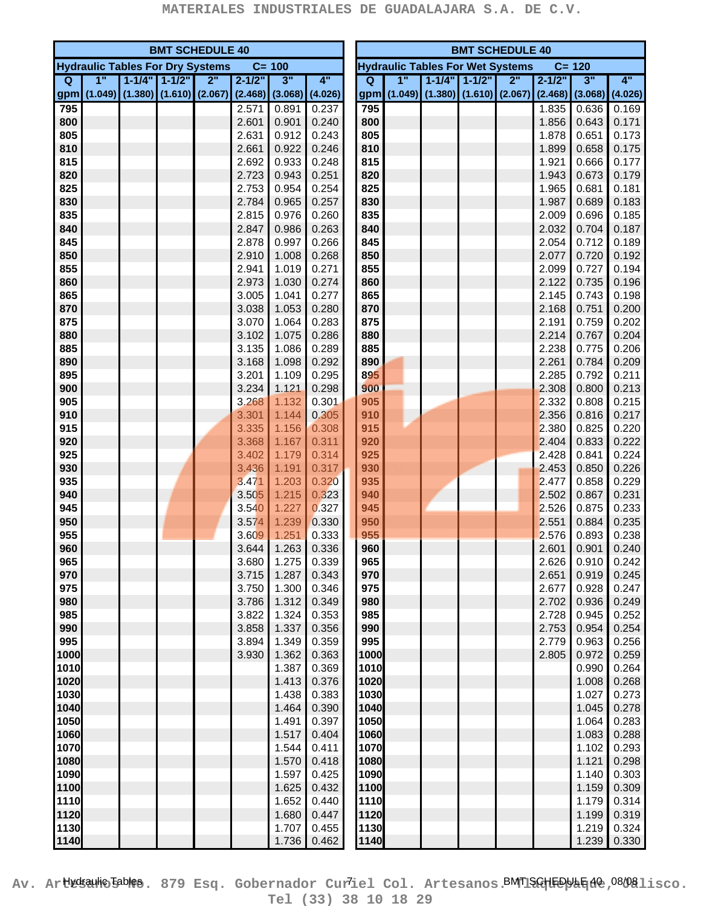|              | <b>BMT SCHEDULE 40</b> |                                         |                     |    |            |                |                     |  | <b>BMT SCHEDULE 40</b><br><b>Hydraulic Tables For Wet Systems</b> |             |                     |           |         |            |                |                |
|--------------|------------------------|-----------------------------------------|---------------------|----|------------|----------------|---------------------|--|-------------------------------------------------------------------|-------------|---------------------|-----------|---------|------------|----------------|----------------|
|              |                        | <b>Hydraulic Tables For Dry Systems</b> |                     |    |            | $C = 100$      |                     |  |                                                                   |             |                     |           |         |            | $C = 120$      |                |
| Q            | 1"                     |                                         | $1 - 1/4" 1 - 1/2"$ | 2" | $2 - 1/2"$ | 3"             | 4"                  |  | Q                                                                 | 1"          | $1 - 1/4"$          | $1 - 1/2$ | 2"      | $2 - 1/2"$ | 3"             | 4"             |
| gpm          |                        | $(1.049)$ $(1.380)$ $(1.610)$ $(2.067)$ |                     |    | (2.468)    |                | $(3.068)$ $(4.026)$ |  |                                                                   | gpm (1.049) | $(1.380)$ $(1.610)$ |           | (2.067) | (2.468)    | (3.068)        | (4.026)        |
| 795          |                        |                                         |                     |    | 2.571      | 0.891          | 0.237               |  | 795                                                               |             |                     |           |         | 1.835      | 0.636          | 0.169          |
| 800          |                        |                                         |                     |    | 2.601      | 0.901          | 0.240               |  | 800                                                               |             |                     |           |         | 1.856      | 0.643          | 0.171          |
| 805          |                        |                                         |                     |    | 2.631      | 0.912          | 0.243               |  | 805                                                               |             |                     |           |         | 1.878      | 0.651          | 0.173          |
| 810          |                        |                                         |                     |    | 2.661      | 0.922          | 0.246               |  | 810                                                               |             |                     |           |         | 1.899      | 0.658          | 0.175          |
| 815          |                        |                                         |                     |    | 2.692      | 0.933          | 0.248               |  | 815                                                               |             |                     |           |         | 1.921      | 0.666          | 0.177          |
| 820          |                        |                                         |                     |    | 2.723      | 0.943          | 0.251               |  | 820                                                               |             |                     |           |         | 1.943      | 0.673          | 0.179          |
| 825          |                        |                                         |                     |    | 2.753      | 0.954          | 0.254               |  | 825                                                               |             |                     |           |         | 1.965      | 0.681          | 0.181          |
| 830          |                        |                                         |                     |    | 2.784      | 0.965          | 0.257               |  | 830                                                               |             |                     |           |         | 1.987      | 0.689          | 0.183          |
| 835          |                        |                                         |                     |    | 2.815      | 0.976          | 0.260               |  | 835                                                               |             |                     |           |         | 2.009      | 0.696          | 0.185          |
| 840          |                        |                                         |                     |    | 2.847      | 0.986          | 0.263               |  | 840                                                               |             |                     |           |         | 2.032      | 0.704          | 0.187          |
| 845          |                        |                                         |                     |    | 2.878      | 0.997          | 0.266               |  | 845                                                               |             |                     |           |         | 2.054      | 0.712          | 0.189          |
| 850          |                        |                                         |                     |    | 2.910      | 1.008          | 0.268               |  | 850                                                               |             |                     |           |         | 2.077      | 0.720          | 0.192          |
| 855          |                        |                                         |                     |    | 2.941      | 1.019          | 0.271               |  | 855                                                               |             |                     |           |         | 2.099      | 0.727          | 0.194          |
| 860          |                        |                                         |                     |    | 2.973      | 1.030          | 0.274               |  | 860                                                               |             |                     |           |         | 2.122      | 0.735          | 0.196          |
| 865          |                        |                                         |                     |    | 3.005      | 1.041          | 0.277               |  | 865                                                               |             |                     |           |         | 2.145      | 0.743          | 0.198          |
| 870          |                        |                                         |                     |    | 3.038      | 1.053          | 0.280               |  | 870                                                               |             |                     |           |         | 2.168      | 0.751          | 0.200          |
| 875          |                        |                                         |                     |    | 3.070      | 1.064          | 0.283               |  | 875                                                               |             |                     |           |         | 2.191      | 0.759          | 0.202          |
| 880          |                        |                                         |                     |    | 3.102      | 1.075          | 0.286               |  | 880                                                               |             |                     |           |         | 2.214      | 0.767          | 0.204          |
| 885          |                        |                                         |                     |    | 3.135      | 1.086          | 0.289               |  | 885                                                               |             |                     |           |         | 2.238      | 0.775          | 0.206          |
| 890          |                        |                                         |                     |    | 3.168      | 1.098          | 0.292               |  | 890                                                               |             |                     |           |         | 2.261      | 0.784          | 0.209          |
| 895          |                        |                                         |                     |    | 3.201      | 1.109          | 0.295               |  | 895                                                               |             |                     |           |         | 2.285      | 0.792          | 0.211          |
| 900          |                        |                                         |                     |    | 3.234      | 1.121          | 0.298               |  | 900                                                               |             |                     |           |         | 2.308      | 0.800          | 0.213          |
| 905          |                        |                                         |                     |    | 3.268      | 1.132          | 0.301               |  | 905                                                               |             |                     |           |         | 2.332      | 0.808          | 0.215          |
| 910          |                        |                                         |                     |    | 3.301      | 1.144          | 0.305               |  | 910                                                               |             |                     |           |         | 2.356      | 0.816          | 0.217          |
| 915          |                        |                                         |                     |    | 3.335      | 1.156          | 0.308               |  | 915                                                               |             |                     |           |         | 2.380      | 0.825          | 0.220          |
| 920          |                        |                                         |                     |    | 3.368      | 1.167          | 0.311               |  | 920                                                               |             |                     |           |         | 2.404      | 0.833          | 0.222          |
| 925          |                        |                                         |                     |    | 3.402      | 1.179          | 0.314               |  | 925                                                               |             |                     |           |         | 2.428      | 0.841          | 0.224          |
| 930          |                        |                                         |                     |    | 3.436      | 1.191          | 0.317               |  | 930                                                               |             |                     |           |         | 2.453      | 0.850          | 0.226          |
| 935          |                        |                                         |                     |    | 3.471      | 1.203          | 0.320               |  | 935                                                               |             |                     |           |         | 2.477      | 0.858          | 0.229          |
| 940          |                        |                                         |                     |    | 3.505      | 1.215          | 0.323               |  | 940                                                               |             |                     |           |         | 2.502      | 0.867          | 0.231          |
| 945          |                        |                                         |                     |    | 3.540      | 1.227          | 0.327               |  | 945                                                               |             |                     |           |         | 2.526      | 0.875          | 0.233          |
| 950          |                        |                                         |                     |    | 3.574      | 1.239          | 0.330               |  | 950                                                               |             |                     |           |         | 2.551      | 0.884          | 0.235          |
| 955          |                        |                                         |                     |    | 3.609      | 1.251          | 0.333               |  | 955                                                               |             |                     |           |         | 2.576      | 0.893          | 0.238          |
| 960          |                        |                                         |                     |    | 3.644      | 1.263          | 0.336               |  | 960                                                               |             |                     |           |         | 2.601      | 0.901          | 0.240          |
| 965          |                        |                                         |                     |    | 3.680      | 1.275          | 0.339               |  | 965                                                               |             |                     |           |         | 2.626      | 0.910          | 0.242          |
| 970          |                        |                                         |                     |    | 3.715      | 1.287          | 0.343               |  | 970                                                               |             |                     |           |         | 2.651      | 0.919          | 0.245          |
| 975          |                        |                                         |                     |    | 3.750      | 1.300          | 0.346               |  | 975                                                               |             |                     |           |         | 2.677      | 0.928          | 0.247          |
| 980          |                        |                                         |                     |    | 3.786      | 1.312          | 0.349               |  | 980                                                               |             |                     |           |         | 2.702      | 0.936          | 0.249          |
| 985          |                        |                                         |                     |    | 3.822      | 1.324          | 0.353               |  | 985                                                               |             |                     |           |         | 2.728      | 0.945          | 0.252          |
| 990          |                        |                                         |                     |    | 3.858      | 1.337          | 0.356               |  | 990                                                               |             |                     |           |         | 2.753      | 0.954          | 0.254          |
| 995          |                        |                                         |                     |    | 3.894      | 1.349          | 0.359               |  | 995                                                               |             |                     |           |         | 2.779      | 0.963          | 0.256          |
| 1000         |                        |                                         |                     |    | 3.930      | 1.362          | 0.363               |  | 1000                                                              |             |                     |           |         | 2.805      | 0.972          | 0.259          |
| 1010         |                        |                                         |                     |    |            | 1.387          | 0.369               |  | 1010                                                              |             |                     |           |         |            | 0.990          | 0.264          |
| 1020         |                        |                                         |                     |    |            | 1.413          | 0.376               |  | 1020                                                              |             |                     |           |         |            | 1.008          | 0.268          |
| 1030         |                        |                                         |                     |    |            | 1.438          | 0.383               |  | 1030                                                              |             |                     |           |         |            | 1.027          | 0.273          |
| 1040         |                        |                                         |                     |    |            | 1.464          | 0.390               |  | 1040                                                              |             |                     |           |         |            | 1.045          | 0.278          |
| 1050         |                        |                                         |                     |    |            | 1.491          | 0.397               |  | 1050                                                              |             |                     |           |         |            | 1.064          | 0.283          |
| 1060         |                        |                                         |                     |    |            | 1.517          | 0.404               |  | 1060                                                              |             |                     |           |         |            | 1.083          | 0.288          |
| 1070         |                        |                                         |                     |    |            | 1.544<br>1.570 | 0.411               |  | 1070                                                              |             |                     |           |         |            | 1.102<br>1.121 | 0.293          |
| 1080<br>1090 |                        |                                         |                     |    |            | 1.597          | 0.418<br>0.425      |  | 1080<br>1090                                                      |             |                     |           |         |            | 1.140          | 0.298<br>0.303 |
| 1100         |                        |                                         |                     |    |            | 1.625          | 0.432               |  | 1100                                                              |             |                     |           |         |            | 1.159          | 0.309          |
| 1110         |                        |                                         |                     |    |            | 1.652          | 0.440               |  | 1110                                                              |             |                     |           |         |            | 1.179          | 0.314          |
| 1120         |                        |                                         |                     |    |            | 1.680          | 0.447               |  | 1120                                                              |             |                     |           |         |            | 1.199          | 0.319          |
| 1130         |                        |                                         |                     |    |            | 1.707          | 0.455               |  | 1130                                                              |             |                     |           |         |            | 1.219          | 0.324          |
| 1140         |                        |                                         |                     |    |            | 1.736          | 0.462               |  | 1140                                                              |             |                     |           |         |            | 1.239          | 0.330          |
|              |                        |                                         |                     |    |            |                |                     |  |                                                                   |             |                     |           |         |            |                |                |

Av. Ar**tkkaulo Boles**. 879 Esq. Gobernador Curiel Col. Artesanos.BMT1SGHEDULE 108/081isco. **Tel (33) 38 10 18 29**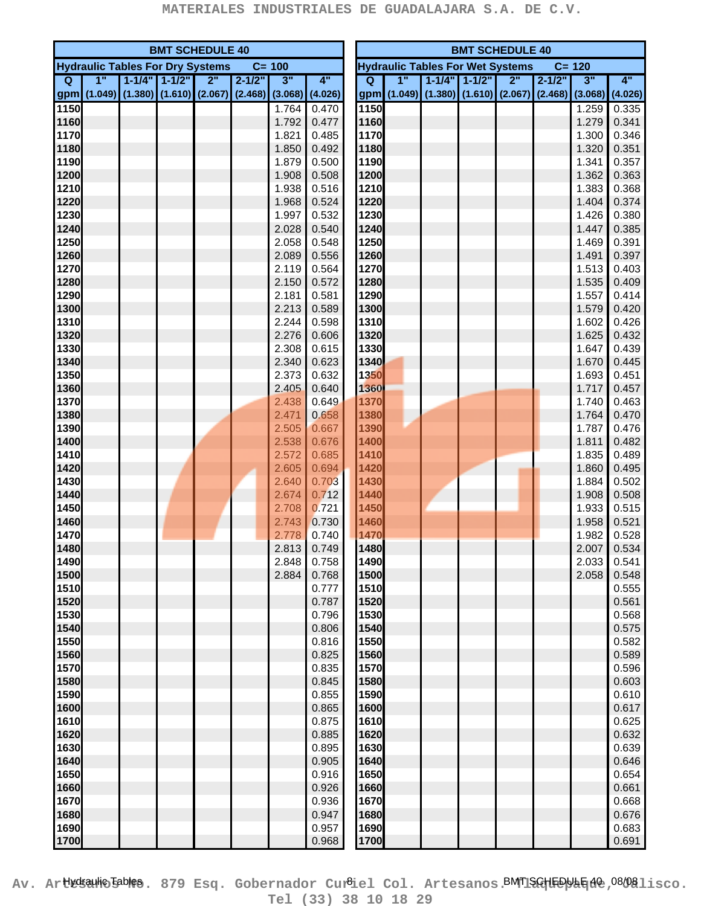|              | <b>BMT SCHEDULE 40</b> |                                         |                     |    |                               |                |                |                                                      | <b>BMT SCHEDULE 40</b> |    |                             |                     |    |                               |                |                |
|--------------|------------------------|-----------------------------------------|---------------------|----|-------------------------------|----------------|----------------|------------------------------------------------------|------------------------|----|-----------------------------|---------------------|----|-------------------------------|----------------|----------------|
|              |                        | <b>Hydraulic Tables For Dry Systems</b> |                     |    |                               | $C = 100$      |                | $C = 120$<br><b>Hydraulic Tables For Wet Systems</b> |                        |    |                             |                     |    |                               |                |                |
| $\mathbf Q$  | 1"                     |                                         | $1 - 1/4" 1 - 1/2"$ | 2" | $2 - 1/2"$                    | 3"             | 4"             |                                                      | Q                      | 1" |                             | $1 - 1/4" 1 - 1/2"$ | 2" | $2 - 1/2"$                    | 3"             | 4"             |
|              |                        | gpm (1.049) (1.380) (1.610) (2.067)     |                     |    | $(2.468)$ $(3.068)$ $(4.026)$ |                |                |                                                      |                        |    | gpm (1.049) (1.380) (1.610) |                     |    | $(2.067)$ $(2.468)$ $(3.068)$ |                | (4.026)        |
| 1150         |                        |                                         |                     |    |                               | 1.764          | 0.470          |                                                      | 1150                   |    |                             |                     |    |                               | 1.259          | 0.335          |
| 1160         |                        |                                         |                     |    |                               | 1.792          | 0.477          |                                                      | 1160                   |    |                             |                     |    |                               | 1.279          | 0.341          |
| 1170         |                        |                                         |                     |    |                               | 1.821          | 0.485          |                                                      | 1170                   |    |                             |                     |    |                               | 1.300          | 0.346          |
| 1180         |                        |                                         |                     |    |                               | 1.850          | 0.492          |                                                      | 1180                   |    |                             |                     |    |                               | 1.320          | 0.351          |
| 1190         |                        |                                         |                     |    |                               | 1.879          | 0.500          |                                                      | 1190                   |    |                             |                     |    |                               | 1.341          | 0.357          |
| 1200         |                        |                                         |                     |    |                               | 1.908          | 0.508          |                                                      | 1200                   |    |                             |                     |    |                               | 1.362          | 0.363          |
| 1210         |                        |                                         |                     |    |                               | 1.938          | 0.516          |                                                      | 1210                   |    |                             |                     |    |                               | 1.383          | 0.368          |
| 1220         |                        |                                         |                     |    |                               | 1.968          | 0.524          |                                                      | 1220                   |    |                             |                     |    |                               | 1.404          | 0.374          |
| 1230         |                        |                                         |                     |    |                               | 1.997          | 0.532          |                                                      | 1230                   |    |                             |                     |    |                               | 1.426          | 0.380          |
| 1240         |                        |                                         |                     |    |                               | 2.028          | 0.540          |                                                      | 1240                   |    |                             |                     |    |                               | 1.447          | 0.385          |
| 1250         |                        |                                         |                     |    |                               | 2.058          | 0.548          |                                                      | 1250                   |    |                             |                     |    |                               | 1.469          | 0.391          |
| 1260<br>1270 |                        |                                         |                     |    |                               | 2.089<br>2.119 | 0.556<br>0.564 |                                                      | 1260<br>1270           |    |                             |                     |    |                               | 1.491          | 0.397<br>0.403 |
| 1280         |                        |                                         |                     |    |                               | 2.150          | 0.572          |                                                      | 1280                   |    |                             |                     |    |                               | 1.513<br>1.535 | 0.409          |
| 1290         |                        |                                         |                     |    |                               | 2.181          | 0.581          |                                                      | 1290                   |    |                             |                     |    |                               | 1.557          | 0.414          |
| 1300         |                        |                                         |                     |    |                               | 2.213          | 0.589          |                                                      | 1300                   |    |                             |                     |    |                               | 1.579          | 0.420          |
| 1310         |                        |                                         |                     |    |                               | 2.244          | 0.598          |                                                      | 1310                   |    |                             |                     |    |                               | 1.602          | 0.426          |
| 1320         |                        |                                         |                     |    |                               | 2.276          | 0.606          |                                                      | 1320                   |    |                             |                     |    |                               | 1.625          | 0.432          |
| 1330         |                        |                                         |                     |    |                               | 2.308          | 0.615          |                                                      | 1330                   |    |                             |                     |    |                               | 1.647          | 0.439          |
| 1340         |                        |                                         |                     |    |                               | 2.340          | 0.623          |                                                      | 1340                   |    |                             |                     |    |                               | 1.670          | 0.445          |
| 1350         |                        |                                         |                     |    |                               | 2.373          | 0.632          |                                                      | 1350                   |    |                             |                     |    |                               | 1.693          | 0.451          |
| 1360         |                        |                                         |                     |    |                               | 2.405          | 0.640          |                                                      | 1360                   |    |                             |                     |    |                               | 1.717          | 0.457          |
| 1370         |                        |                                         |                     |    |                               | 2.438          | 0.649          |                                                      | 1370                   |    |                             |                     |    |                               | 1.740          | 0.463          |
| 1380         |                        |                                         |                     |    |                               | 2.471          | 0.658          |                                                      | 1380                   |    |                             |                     |    |                               | 1.764          | 0.470          |
| 1390         |                        |                                         |                     |    |                               | 2.505          | 0.667          |                                                      | 1390                   |    |                             |                     |    |                               | 1.787          | 0.476          |
| 1400         |                        |                                         |                     |    |                               | 2.538          | 0.676          |                                                      | 1400                   |    |                             |                     |    |                               | 1.811          | 0.482          |
| 1410         |                        |                                         |                     |    |                               | 2.572          | 0.685          |                                                      | 1410                   |    |                             |                     |    |                               | 1.835          | 0.489          |
| 1420         |                        |                                         |                     |    |                               | 2.605          | 0.694          |                                                      | 1420                   |    |                             |                     |    |                               | 1.860          | 0.495          |
| 1430         |                        |                                         |                     |    |                               | 2.640          | 0.703          |                                                      | 1430                   |    |                             |                     |    |                               | 1.884          | 0.502          |
| 1440         |                        |                                         |                     |    |                               | 2.674          | 0.712          |                                                      | 1440                   |    |                             |                     |    |                               | 1.908          | 0.508          |
| 1450         |                        |                                         |                     |    |                               | 2.708          | 0.721          |                                                      | 1450                   |    |                             |                     |    |                               | 1.933          | 0.515          |
| 1460         |                        |                                         |                     |    |                               | 2.743          | 0.730          |                                                      | 1460                   |    |                             |                     |    |                               | 1.958          | 0.521          |
| 1470         |                        |                                         |                     |    |                               | 2.778          | 0.740          |                                                      | 1470                   |    |                             |                     |    |                               | 1.982          | 0.528          |
| 1480<br>1490 |                        |                                         |                     |    |                               | 2.813<br>2.848 | 0.749<br>0.758 |                                                      | 1480<br>1490           |    |                             |                     |    |                               | 2.007<br>2.033 | 0.534<br>0.541 |
| 1500         |                        |                                         |                     |    |                               | 2.884          | 0.768          |                                                      | 1500                   |    |                             |                     |    |                               | 2.058          | 0.548          |
| 1510         |                        |                                         |                     |    |                               |                | 0.777          |                                                      | 1510                   |    |                             |                     |    |                               |                | 0.555          |
| 1520         |                        |                                         |                     |    |                               |                | 0.787          |                                                      | 1520                   |    |                             |                     |    |                               |                | 0.561          |
| 1530         |                        |                                         |                     |    |                               |                | 0.796          |                                                      | 1530                   |    |                             |                     |    |                               |                | 0.568          |
| 1540         |                        |                                         |                     |    |                               |                | 0.806          |                                                      | 1540                   |    |                             |                     |    |                               |                | 0.575          |
| 1550         |                        |                                         |                     |    |                               |                | 0.816          |                                                      | 1550                   |    |                             |                     |    |                               |                | 0.582          |
| 1560         |                        |                                         |                     |    |                               |                | 0.825          |                                                      | 1560                   |    |                             |                     |    |                               |                | 0.589          |
| 1570         |                        |                                         |                     |    |                               |                | 0.835          |                                                      | 1570                   |    |                             |                     |    |                               |                | 0.596          |
| 1580         |                        |                                         |                     |    |                               |                | 0.845          |                                                      | 1580                   |    |                             |                     |    |                               |                | 0.603          |
| 1590         |                        |                                         |                     |    |                               |                | 0.855          |                                                      | 1590                   |    |                             |                     |    |                               |                | 0.610          |
| 1600         |                        |                                         |                     |    |                               |                | 0.865          |                                                      | 1600                   |    |                             |                     |    |                               |                | 0.617          |
| 1610         |                        |                                         |                     |    |                               |                | 0.875          |                                                      | 1610                   |    |                             |                     |    |                               |                | 0.625          |
| 1620         |                        |                                         |                     |    |                               |                | 0.885          |                                                      | 1620                   |    |                             |                     |    |                               |                | 0.632          |
| 1630         |                        |                                         |                     |    |                               |                | 0.895          |                                                      | 1630                   |    |                             |                     |    |                               |                | 0.639          |
| 1640         |                        |                                         |                     |    |                               |                | 0.905          |                                                      | 1640                   |    |                             |                     |    |                               |                | 0.646          |
| 1650         |                        |                                         |                     |    |                               |                | 0.916          |                                                      | 1650                   |    |                             |                     |    |                               |                | 0.654          |
| 1660         |                        |                                         |                     |    |                               |                | 0.926          |                                                      | 1660                   |    |                             |                     |    |                               |                | 0.661          |
| 1670         |                        |                                         |                     |    |                               |                | 0.936          |                                                      | 1670<br>1680           |    |                             |                     |    |                               |                | 0.668          |
| 1680<br>1690 |                        |                                         |                     |    |                               |                | 0.947<br>0.957 |                                                      | 1690                   |    |                             |                     |    |                               |                | 0.676<br>0.683 |
| 1700         |                        |                                         |                     |    |                               |                | 0.968          |                                                      | 1700                   |    |                             |                     |    |                               |                | 0.691          |
|              |                        |                                         |                     |    |                               |                |                |                                                      |                        |    |                             |                     |    |                               |                |                |

Av. Ar**tkkaulo Boles**. 879 Esq. Gobernador Cur<sup>g</sup>iel Col. Artesanos.BMT1SGHEDULE1d0,08/081isco. **Tel (33) 38 10 18 29**